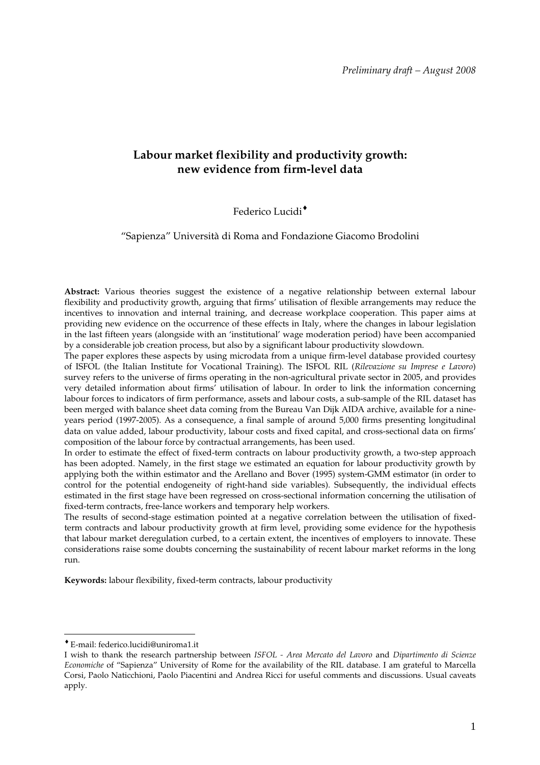## **Labour market flexibility and productivity growth: new evidence from firm-level data**

## Federico Lucidi<sup>+</sup>

"Sapienza" Università di Roma and Fondazione Giacomo Brodolini

**Abstract:** Various theories suggest the existence of a negative relationship between external labour flexibility and productivity growth, arguing that firms' utilisation of flexible arrangements may reduce the incentives to innovation and internal training, and decrease workplace cooperation. This paper aims at providing new evidence on the occurrence of these effects in Italy, where the changes in labour legislation in the last fifteen years (alongside with an 'institutional' wage moderation period) have been accompanied by a considerable job creation process, but also by a significant labour productivity slowdown.

The paper explores these aspects by using microdata from a unique firm-level database provided courtesy of ISFOL (the Italian Institute for Vocational Training). The ISFOL RIL (*Rilevazione su Imprese e Lavoro*) survey refers to the universe of firms operating in the non-agricultural private sector in 2005, and provides very detailed information about firms' utilisation of labour. In order to link the information concerning labour forces to indicators of firm performance, assets and labour costs, a sub-sample of the RIL dataset has been merged with balance sheet data coming from the Bureau Van Dijk AIDA archive, available for a nineyears period (1997-2005). As a consequence, a final sample of around 5,000 firms presenting longitudinal data on value added, labour productivity, labour costs and fixed capital, and cross-sectional data on firms' composition of the labour force by contractual arrangements, has been used.

In order to estimate the effect of fixed-term contracts on labour productivity growth, a two-step approach has been adopted. Namely, in the first stage we estimated an equation for labour productivity growth by applying both the within estimator and the Arellano and Bover (1995) system-GMM estimator (in order to control for the potential endogeneity of right-hand side variables). Subsequently, the individual effects estimated in the first stage have been regressed on cross-sectional information concerning the utilisation of fixed-term contracts, free-lance workers and temporary help workers.

The results of second-stage estimation pointed at a negative correlation between the utilisation of fixedterm contracts and labour productivity growth at firm level, providing some evidence for the hypothesis that labour market deregulation curbed, to a certain extent, the incentives of employers to innovate. These considerations raise some doubts concerning the sustainability of recent labour market reforms in the long run.

**Keywords:** labour flexibility, fixed-term contracts, labour productivity

<sup>♦</sup> E-mail: federico.lucidi@uniroma1.it

I wish to thank the research partnership between *ISFOL - Area Mercato del Lavoro* and *Dipartimento di Scienze Economiche* of "Sapienza" University of Rome for the availability of the RIL database. I am grateful to Marcella Corsi, Paolo Naticchioni, Paolo Piacentini and Andrea Ricci for useful comments and discussions. Usual caveats apply.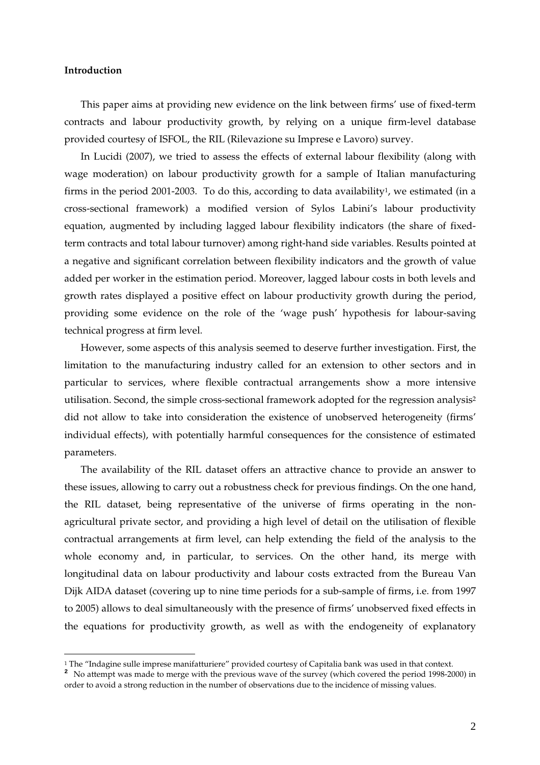## **Introduction**

 $\overline{a}$ 

This paper aims at providing new evidence on the link between firms' use of fixed-term contracts and labour productivity growth, by relying on a unique firm-level database provided courtesy of ISFOL, the RIL (Rilevazione su Imprese e Lavoro) survey.

In Lucidi (2007), we tried to assess the effects of external labour flexibility (along with wage moderation) on labour productivity growth for a sample of Italian manufacturing firms in the period 2001-2003. To do this, according to data availability<sup>1</sup>, we estimated (in a cross-sectional framework) a modified version of Sylos Labini's labour productivity equation, augmented by including lagged labour flexibility indicators (the share of fixedterm contracts and total labour turnover) among right-hand side variables. Results pointed at a negative and significant correlation between flexibility indicators and the growth of value added per worker in the estimation period. Moreover, lagged labour costs in both levels and growth rates displayed a positive effect on labour productivity growth during the period, providing some evidence on the role of the 'wage push' hypothesis for labour-saving technical progress at firm level.

However, some aspects of this analysis seemed to deserve further investigation. First, the limitation to the manufacturing industry called for an extension to other sectors and in particular to services, where flexible contractual arrangements show a more intensive utilisation. Second, the simple cross-sectional framework adopted for the regression analysis<sup>2</sup> did not allow to take into consideration the existence of unobserved heterogeneity (firms' individual effects), with potentially harmful consequences for the consistence of estimated parameters.

The availability of the RIL dataset offers an attractive chance to provide an answer to these issues, allowing to carry out a robustness check for previous findings. On the one hand, the RIL dataset, being representative of the universe of firms operating in the nonagricultural private sector, and providing a high level of detail on the utilisation of flexible contractual arrangements at firm level, can help extending the field of the analysis to the whole economy and, in particular, to services. On the other hand, its merge with longitudinal data on labour productivity and labour costs extracted from the Bureau Van Dijk AIDA dataset (covering up to nine time periods for a sub-sample of firms, i.e. from 1997 to 2005) allows to deal simultaneously with the presence of firms' unobserved fixed effects in the equations for productivity growth, as well as with the endogeneity of explanatory

<sup>&</sup>lt;sup>1</sup> The "Indagine sulle imprese manifatturiere" provided courtesy of Capitalia bank was used in that context.

**<sup>2</sup>** No attempt was made to merge with the previous wave of the survey (which covered the period 1998-2000) in order to avoid a strong reduction in the number of observations due to the incidence of missing values.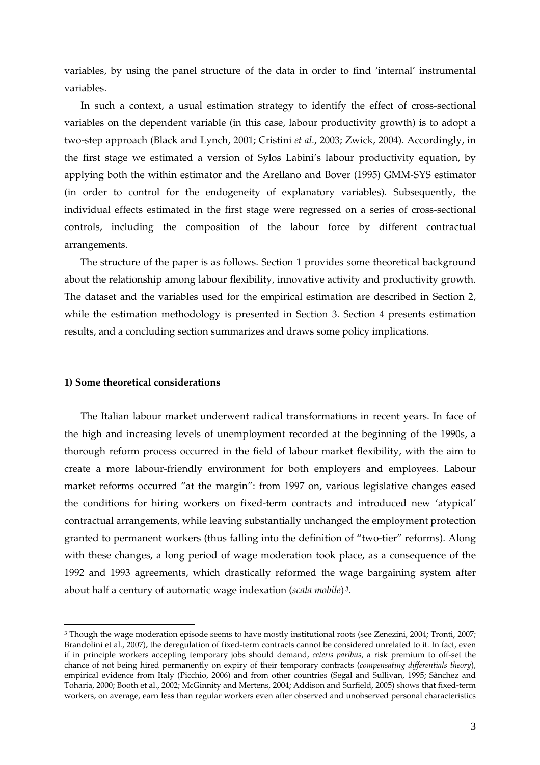variables, by using the panel structure of the data in order to find 'internal' instrumental variables.

In such a context, a usual estimation strategy to identify the effect of cross-sectional variables on the dependent variable (in this case, labour productivity growth) is to adopt a two-step approach (Black and Lynch, 2001; Cristini *et al.*, 2003; Zwick, 2004). Accordingly, in the first stage we estimated a version of Sylos Labini's labour productivity equation, by applying both the within estimator and the Arellano and Bover (1995) GMM-SYS estimator (in order to control for the endogeneity of explanatory variables). Subsequently, the individual effects estimated in the first stage were regressed on a series of cross-sectional controls, including the composition of the labour force by different contractual arrangements.

The structure of the paper is as follows. Section 1 provides some theoretical background about the relationship among labour flexibility, innovative activity and productivity growth. The dataset and the variables used for the empirical estimation are described in Section 2, while the estimation methodology is presented in Section 3. Section 4 presents estimation results, and a concluding section summarizes and draws some policy implications.

#### **1) Some theoretical considerations**

 $\overline{a}$ 

The Italian labour market underwent radical transformations in recent years. In face of the high and increasing levels of unemployment recorded at the beginning of the 1990s, a thorough reform process occurred in the field of labour market flexibility, with the aim to create a more labour-friendly environment for both employers and employees. Labour market reforms occurred "at the margin": from 1997 on, various legislative changes eased the conditions for hiring workers on fixed-term contracts and introduced new 'atypical' contractual arrangements, while leaving substantially unchanged the employment protection granted to permanent workers (thus falling into the definition of "two-tier" reforms). Along with these changes, a long period of wage moderation took place, as a consequence of the 1992 and 1993 agreements, which drastically reformed the wage bargaining system after about half a century of automatic wage indexation (*scala mobile*) 3.

<sup>&</sup>lt;sup>3</sup> Though the wage moderation episode seems to have mostly institutional roots (see Zenezini, 2004; Tronti, 2007; Brandolini et al., 2007), the deregulation of fixed-term contracts cannot be considered unrelated to it. In fact, even if in principle workers accepting temporary jobs should demand, *ceteris paribus*, a risk premium to off-set the chance of not being hired permanently on expiry of their temporary contracts (*compensating differentials theory*), empirical evidence from Italy (Picchio, 2006) and from other countries (Segal and Sullivan, 1995; Sànchez and Toharia, 2000; Booth et al., 2002; McGinnity and Mertens, 2004; Addison and Surfield, 2005) shows that fixed-term workers, on average, earn less than regular workers even after observed and unobserved personal characteristics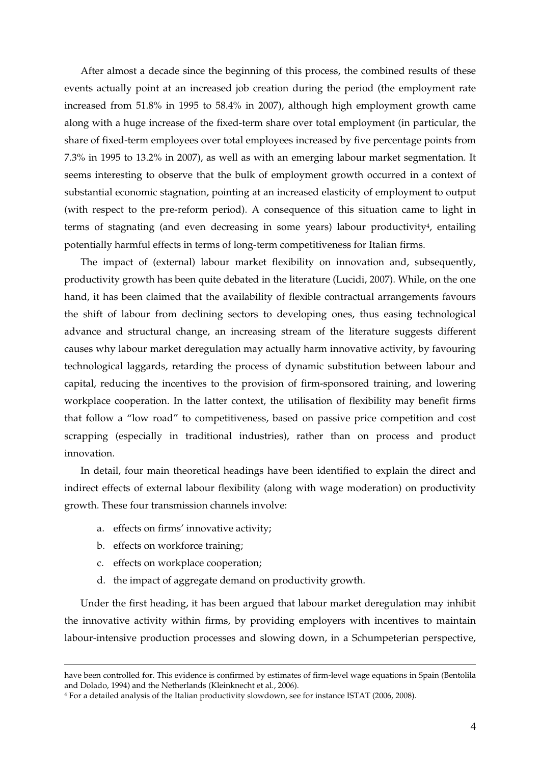After almost a decade since the beginning of this process, the combined results of these events actually point at an increased job creation during the period (the employment rate increased from 51.8% in 1995 to 58.4% in 2007), although high employment growth came along with a huge increase of the fixed-term share over total employment (in particular, the share of fixed-term employees over total employees increased by five percentage points from 7.3% in 1995 to 13.2% in 2007), as well as with an emerging labour market segmentation. It seems interesting to observe that the bulk of employment growth occurred in a context of substantial economic stagnation, pointing at an increased elasticity of employment to output (with respect to the pre-reform period). A consequence of this situation came to light in terms of stagnating (and even decreasing in some years) labour productivity4, entailing potentially harmful effects in terms of long-term competitiveness for Italian firms.

The impact of (external) labour market flexibility on innovation and, subsequently, productivity growth has been quite debated in the literature (Lucidi, 2007). While, on the one hand, it has been claimed that the availability of flexible contractual arrangements favours the shift of labour from declining sectors to developing ones, thus easing technological advance and structural change, an increasing stream of the literature suggests different causes why labour market deregulation may actually harm innovative activity, by favouring technological laggards, retarding the process of dynamic substitution between labour and capital, reducing the incentives to the provision of firm-sponsored training, and lowering workplace cooperation. In the latter context, the utilisation of flexibility may benefit firms that follow a "low road" to competitiveness, based on passive price competition and cost scrapping (especially in traditional industries), rather than on process and product innovation.

In detail, four main theoretical headings have been identified to explain the direct and indirect effects of external labour flexibility (along with wage moderation) on productivity growth. These four transmission channels involve:

- a. effects on firms' innovative activity;
- b. effects on workforce training;

 $\overline{a}$ 

- c. effects on workplace cooperation;
- d. the impact of aggregate demand on productivity growth.

Under the first heading, it has been argued that labour market deregulation may inhibit the innovative activity within firms, by providing employers with incentives to maintain labour-intensive production processes and slowing down, in a Schumpeterian perspective,

have been controlled for. This evidence is confirmed by estimates of firm-level wage equations in Spain (Bentolila and Dolado, 1994) and the Netherlands (Kleinknecht et al., 2006).

<sup>4</sup> For a detailed analysis of the Italian productivity slowdown, see for instance ISTAT (2006, 2008).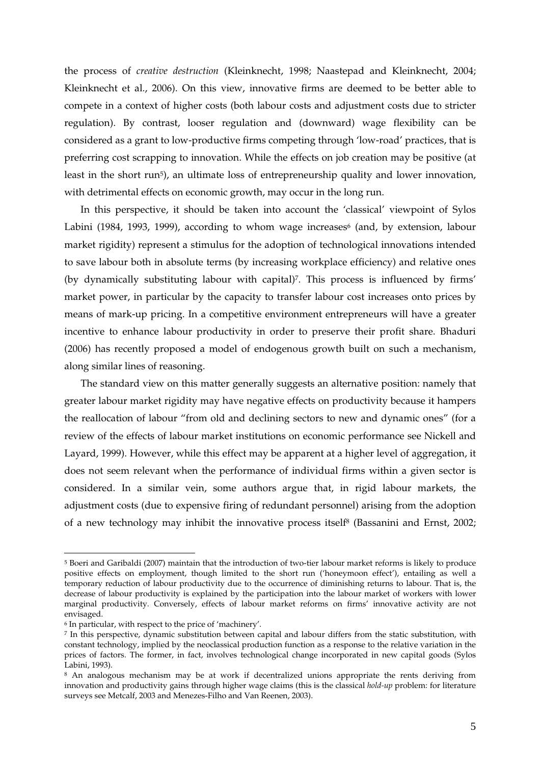the process of *creative destruction* (Kleinknecht, 1998; Naastepad and Kleinknecht, 2004; Kleinknecht et al., 2006). On this view, innovative firms are deemed to be better able to compete in a context of higher costs (both labour costs and adjustment costs due to stricter regulation). By contrast, looser regulation and (downward) wage flexibility can be considered as a grant to low-productive firms competing through 'low-road' practices, that is preferring cost scrapping to innovation. While the effects on job creation may be positive (at least in the short run<sup>5</sup>), an ultimate loss of entrepreneurship quality and lower innovation, with detrimental effects on economic growth, may occur in the long run.

In this perspective, it should be taken into account the 'classical' viewpoint of Sylos Labini (1984, 1993, 1999), according to whom wage increases (and, by extension, labour market rigidity) represent a stimulus for the adoption of technological innovations intended to save labour both in absolute terms (by increasing workplace efficiency) and relative ones (by dynamically substituting labour with capital)7. This process is influenced by firms' market power, in particular by the capacity to transfer labour cost increases onto prices by means of mark-up pricing. In a competitive environment entrepreneurs will have a greater incentive to enhance labour productivity in order to preserve their profit share. Bhaduri (2006) has recently proposed a model of endogenous growth built on such a mechanism, along similar lines of reasoning.

The standard view on this matter generally suggests an alternative position: namely that greater labour market rigidity may have negative effects on productivity because it hampers the reallocation of labour "from old and declining sectors to new and dynamic ones" (for a review of the effects of labour market institutions on economic performance see Nickell and Layard, 1999). However, while this effect may be apparent at a higher level of aggregation, it does not seem relevant when the performance of individual firms within a given sector is considered. In a similar vein, some authors argue that, in rigid labour markets, the adjustment costs (due to expensive firing of redundant personnel) arising from the adoption of a new technology may inhibit the innovative process itself8 (Bassanini and Ernst, 2002;

<sup>5</sup> Boeri and Garibaldi (2007) maintain that the introduction of two-tier labour market reforms is likely to produce positive effects on employment, though limited to the short run ('honeymoon effect'), entailing as well a temporary reduction of labour productivity due to the occurrence of diminishing returns to labour. That is, the decrease of labour productivity is explained by the participation into the labour market of workers with lower marginal productivity. Conversely, effects of labour market reforms on firms' innovative activity are not envisaged.

<sup>6</sup> In particular, with respect to the price of 'machinery'.

<sup>7</sup> In this perspective, dynamic substitution between capital and labour differs from the static substitution, with constant technology, implied by the neoclassical production function as a response to the relative variation in the prices of factors. The former, in fact, involves technological change incorporated in new capital goods (Sylos Labini, 1993).

<sup>8</sup> An analogous mechanism may be at work if decentralized unions appropriate the rents deriving from innovation and productivity gains through higher wage claims (this is the classical *hold-up* problem: for literature surveys see Metcalf, 2003 and Menezes-Filho and Van Reenen, 2003).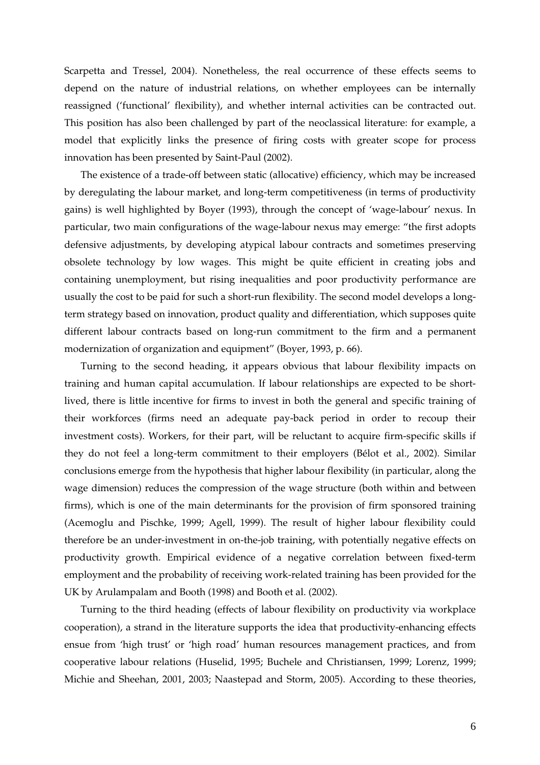Scarpetta and Tressel, 2004). Nonetheless, the real occurrence of these effects seems to depend on the nature of industrial relations, on whether employees can be internally reassigned ('functional' flexibility), and whether internal activities can be contracted out. This position has also been challenged by part of the neoclassical literature: for example, a model that explicitly links the presence of firing costs with greater scope for process innovation has been presented by Saint-Paul (2002).

The existence of a trade-off between static (allocative) efficiency, which may be increased by deregulating the labour market, and long-term competitiveness (in terms of productivity gains) is well highlighted by Boyer (1993), through the concept of 'wage-labour' nexus. In particular, two main configurations of the wage-labour nexus may emerge: "the first adopts defensive adjustments, by developing atypical labour contracts and sometimes preserving obsolete technology by low wages. This might be quite efficient in creating jobs and containing unemployment, but rising inequalities and poor productivity performance are usually the cost to be paid for such a short-run flexibility. The second model develops a longterm strategy based on innovation, product quality and differentiation, which supposes quite different labour contracts based on long-run commitment to the firm and a permanent modernization of organization and equipment" (Boyer, 1993, p. 66).

Turning to the second heading, it appears obvious that labour flexibility impacts on training and human capital accumulation. If labour relationships are expected to be shortlived, there is little incentive for firms to invest in both the general and specific training of their workforces (firms need an adequate pay-back period in order to recoup their investment costs). Workers, for their part, will be reluctant to acquire firm-specific skills if they do not feel a long-term commitment to their employers (Bélot et al., 2002). Similar conclusions emerge from the hypothesis that higher labour flexibility (in particular, along the wage dimension) reduces the compression of the wage structure (both within and between firms), which is one of the main determinants for the provision of firm sponsored training (Acemoglu and Pischke, 1999; Agell, 1999). The result of higher labour flexibility could therefore be an under-investment in on-the-job training, with potentially negative effects on productivity growth. Empirical evidence of a negative correlation between fixed-term employment and the probability of receiving work-related training has been provided for the UK by Arulampalam and Booth (1998) and Booth et al. (2002).

Turning to the third heading (effects of labour flexibility on productivity via workplace cooperation), a strand in the literature supports the idea that productivity-enhancing effects ensue from 'high trust' or 'high road' human resources management practices, and from cooperative labour relations (Huselid, 1995; Buchele and Christiansen, 1999; Lorenz, 1999; Michie and Sheehan, 2001, 2003; Naastepad and Storm, 2005). According to these theories,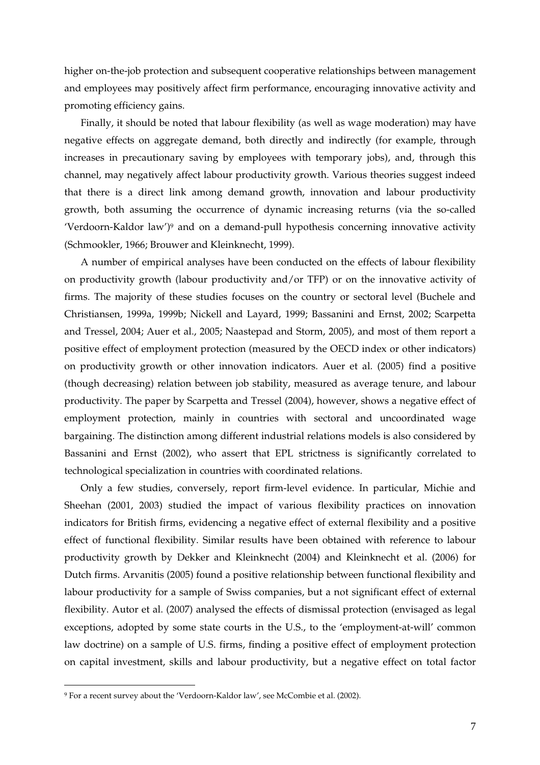higher on-the-job protection and subsequent cooperative relationships between management and employees may positively affect firm performance, encouraging innovative activity and promoting efficiency gains.

Finally, it should be noted that labour flexibility (as well as wage moderation) may have negative effects on aggregate demand, both directly and indirectly (for example, through increases in precautionary saving by employees with temporary jobs), and, through this channel, may negatively affect labour productivity growth. Various theories suggest indeed that there is a direct link among demand growth, innovation and labour productivity growth, both assuming the occurrence of dynamic increasing returns (via the so-called 'Verdoorn-Kaldor law')9 and on a demand-pull hypothesis concerning innovative activity (Schmookler, 1966; Brouwer and Kleinknecht, 1999).

A number of empirical analyses have been conducted on the effects of labour flexibility on productivity growth (labour productivity and/or TFP) or on the innovative activity of firms. The majority of these studies focuses on the country or sectoral level (Buchele and Christiansen, 1999a, 1999b; Nickell and Layard, 1999; Bassanini and Ernst, 2002; Scarpetta and Tressel, 2004; Auer et al., 2005; Naastepad and Storm, 2005), and most of them report a positive effect of employment protection (measured by the OECD index or other indicators) on productivity growth or other innovation indicators. Auer et al. (2005) find a positive (though decreasing) relation between job stability, measured as average tenure, and labour productivity. The paper by Scarpetta and Tressel (2004), however, shows a negative effect of employment protection, mainly in countries with sectoral and uncoordinated wage bargaining. The distinction among different industrial relations models is also considered by Bassanini and Ernst (2002), who assert that EPL strictness is significantly correlated to technological specialization in countries with coordinated relations.

Only a few studies, conversely, report firm-level evidence. In particular, Michie and Sheehan (2001, 2003) studied the impact of various flexibility practices on innovation indicators for British firms, evidencing a negative effect of external flexibility and a positive effect of functional flexibility. Similar results have been obtained with reference to labour productivity growth by Dekker and Kleinknecht (2004) and Kleinknecht et al. (2006) for Dutch firms. Arvanitis (2005) found a positive relationship between functional flexibility and labour productivity for a sample of Swiss companies, but a not significant effect of external flexibility. Autor et al. (2007) analysed the effects of dismissal protection (envisaged as legal exceptions, adopted by some state courts in the U.S., to the 'employment-at-will' common law doctrine) on a sample of U.S. firms, finding a positive effect of employment protection on capital investment, skills and labour productivity, but a negative effect on total factor

<sup>9</sup> For a recent survey about the 'Verdoorn-Kaldor law', see McCombie et al. (2002).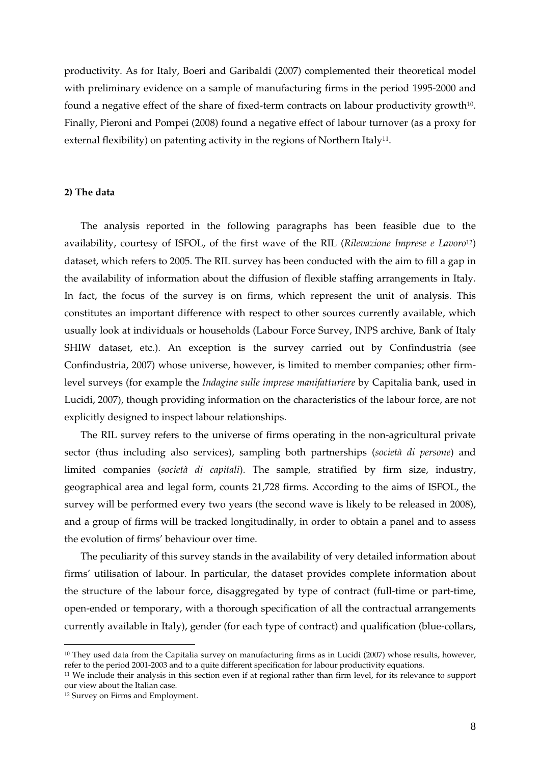productivity. As for Italy, Boeri and Garibaldi (2007) complemented their theoretical model with preliminary evidence on a sample of manufacturing firms in the period 1995-2000 and found a negative effect of the share of fixed-term contracts on labour productivity growth10. Finally, Pieroni and Pompei (2008) found a negative effect of labour turnover (as a proxy for external flexibility) on patenting activity in the regions of Northern Italy<sup>11</sup>.

#### **2) The data**

The analysis reported in the following paragraphs has been feasible due to the availability, courtesy of ISFOL, of the first wave of the RIL (*Rilevazione Imprese e Lavoro*12) dataset, which refers to 2005. The RIL survey has been conducted with the aim to fill a gap in the availability of information about the diffusion of flexible staffing arrangements in Italy. In fact, the focus of the survey is on firms, which represent the unit of analysis. This constitutes an important difference with respect to other sources currently available, which usually look at individuals or households (Labour Force Survey, INPS archive, Bank of Italy SHIW dataset, etc.). An exception is the survey carried out by Confindustria (see Confindustria, 2007) whose universe, however, is limited to member companies; other firmlevel surveys (for example the *Indagine sulle imprese manifatturiere* by Capitalia bank, used in Lucidi, 2007), though providing information on the characteristics of the labour force, are not explicitly designed to inspect labour relationships.

The RIL survey refers to the universe of firms operating in the non-agricultural private sector (thus including also services), sampling both partnerships (*società di persone*) and limited companies (*società di capitali*). The sample, stratified by firm size, industry, geographical area and legal form, counts 21,728 firms. According to the aims of ISFOL, the survey will be performed every two years (the second wave is likely to be released in 2008), and a group of firms will be tracked longitudinally, in order to obtain a panel and to assess the evolution of firms' behaviour over time.

The peculiarity of this survey stands in the availability of very detailed information about firms' utilisation of labour. In particular, the dataset provides complete information about the structure of the labour force, disaggregated by type of contract (full-time or part-time, open-ended or temporary, with a thorough specification of all the contractual arrangements currently available in Italy), gender (for each type of contract) and qualification (blue-collars,

<sup>10</sup> They used data from the Capitalia survey on manufacturing firms as in Lucidi (2007) whose results, however, refer to the period 2001-2003 and to a quite different specification for labour productivity equations.

<sup>11</sup> We include their analysis in this section even if at regional rather than firm level, for its relevance to support our view about the Italian case.

<sup>12</sup> Survey on Firms and Employment.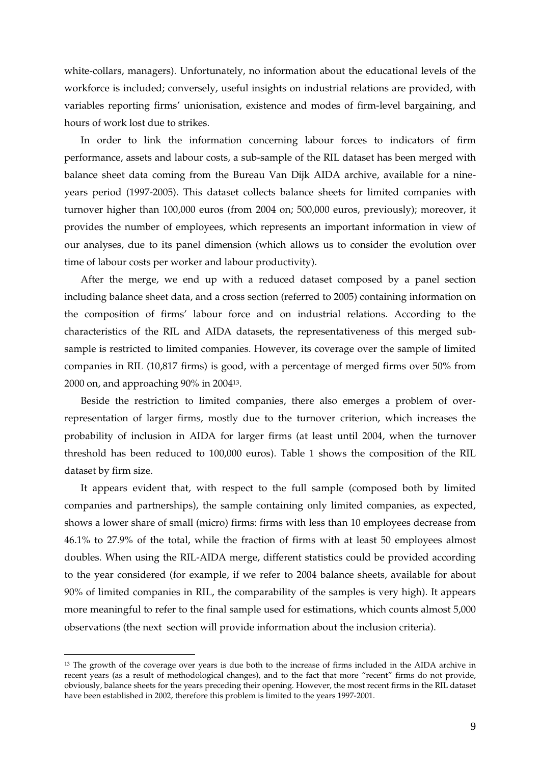white-collars, managers). Unfortunately, no information about the educational levels of the workforce is included; conversely, useful insights on industrial relations are provided, with variables reporting firms' unionisation, existence and modes of firm-level bargaining, and hours of work lost due to strikes.

In order to link the information concerning labour forces to indicators of firm performance, assets and labour costs, a sub-sample of the RIL dataset has been merged with balance sheet data coming from the Bureau Van Dijk AIDA archive, available for a nineyears period (1997-2005). This dataset collects balance sheets for limited companies with turnover higher than 100,000 euros (from 2004 on; 500,000 euros, previously); moreover, it provides the number of employees, which represents an important information in view of our analyses, due to its panel dimension (which allows us to consider the evolution over time of labour costs per worker and labour productivity).

After the merge, we end up with a reduced dataset composed by a panel section including balance sheet data, and a cross section (referred to 2005) containing information on the composition of firms' labour force and on industrial relations. According to the characteristics of the RIL and AIDA datasets, the representativeness of this merged subsample is restricted to limited companies. However, its coverage over the sample of limited companies in RIL (10,817 firms) is good, with a percentage of merged firms over 50% from 2000 on, and approaching 90% in 200413.

Beside the restriction to limited companies, there also emerges a problem of overrepresentation of larger firms, mostly due to the turnover criterion, which increases the probability of inclusion in AIDA for larger firms (at least until 2004, when the turnover threshold has been reduced to 100,000 euros). Table 1 shows the composition of the RIL dataset by firm size.

It appears evident that, with respect to the full sample (composed both by limited companies and partnerships), the sample containing only limited companies, as expected, shows a lower share of small (micro) firms: firms with less than 10 employees decrease from 46.1% to 27.9% of the total, while the fraction of firms with at least 50 employees almost doubles. When using the RIL-AIDA merge, different statistics could be provided according to the year considered (for example, if we refer to 2004 balance sheets, available for about 90% of limited companies in RIL, the comparability of the samples is very high). It appears more meaningful to refer to the final sample used for estimations, which counts almost 5,000 observations (the next section will provide information about the inclusion criteria).

<sup>&</sup>lt;sup>13</sup> The growth of the coverage over years is due both to the increase of firms included in the AIDA archive in recent years (as a result of methodological changes), and to the fact that more "recent" firms do not provide, obviously, balance sheets for the years preceding their opening. However, the most recent firms in the RIL dataset have been established in 2002, therefore this problem is limited to the years 1997-2001.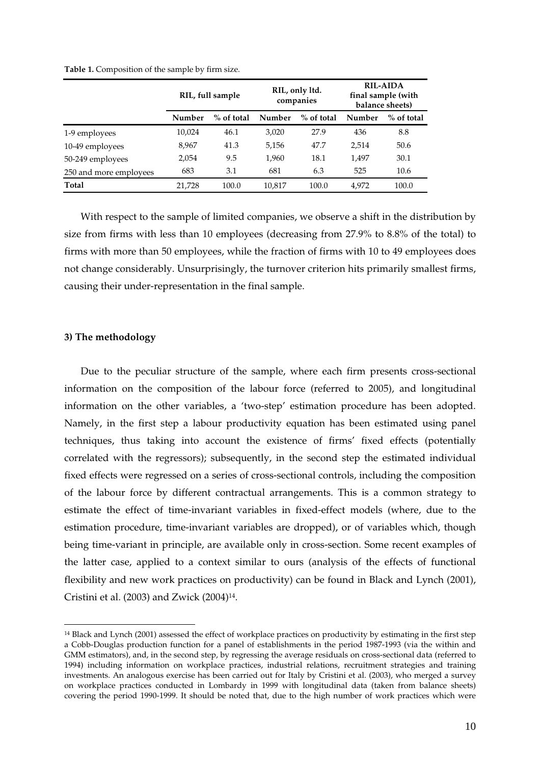|                        |        | RIL, only ltd.<br>companies |        | RIL, full sample |        |            |  | <b>RIL-AIDA</b><br>final sample (with<br>balance sheets) |
|------------------------|--------|-----------------------------|--------|------------------|--------|------------|--|----------------------------------------------------------|
|                        | Number | $%$ of total                | Number | % of total       | Number | % of total |  |                                                          |
| 1-9 employees          | 10,024 | 46.1                        | 3,020  | 27.9             | 436    | 8.8        |  |                                                          |
| 10-49 employees        | 8,967  | 41.3                        | 5,156  | 47.7             | 2,514  | 50.6       |  |                                                          |
| 50-249 employees       | 2,054  | 9.5                         | 1,960  | 18.1             | 1,497  | 30.1       |  |                                                          |
| 250 and more employees | 683    | 3.1                         | 681    | 6.3              | 525    | 10.6       |  |                                                          |
| Total                  | 21.728 | 100.0                       | 10,817 | 100.0            | 4.972  | 100.0      |  |                                                          |

**Table 1.** Composition of the sample by firm size.

With respect to the sample of limited companies, we observe a shift in the distribution by size from firms with less than 10 employees (decreasing from 27.9% to 8.8% of the total) to firms with more than 50 employees, while the fraction of firms with 10 to 49 employees does not change considerably. Unsurprisingly, the turnover criterion hits primarily smallest firms, causing their under-representation in the final sample.

#### **3) The methodology**

 $\overline{a}$ 

Due to the peculiar structure of the sample, where each firm presents cross-sectional information on the composition of the labour force (referred to 2005), and longitudinal information on the other variables, a 'two-step' estimation procedure has been adopted. Namely, in the first step a labour productivity equation has been estimated using panel techniques, thus taking into account the existence of firms' fixed effects (potentially correlated with the regressors); subsequently, in the second step the estimated individual fixed effects were regressed on a series of cross-sectional controls, including the composition of the labour force by different contractual arrangements. This is a common strategy to estimate the effect of time-invariant variables in fixed-effect models (where, due to the estimation procedure, time-invariant variables are dropped), or of variables which, though being time-variant in principle, are available only in cross-section. Some recent examples of the latter case, applied to a context similar to ours (analysis of the effects of functional flexibility and new work practices on productivity) can be found in Black and Lynch (2001), Cristini et al. (2003) and Zwick (2004)14.

<sup>14</sup> Black and Lynch (2001) assessed the effect of workplace practices on productivity by estimating in the first step a Cobb-Douglas production function for a panel of establishments in the period 1987-1993 (via the within and GMM estimators), and, in the second step, by regressing the average residuals on cross-sectional data (referred to 1994) including information on workplace practices, industrial relations, recruitment strategies and training investments. An analogous exercise has been carried out for Italy by Cristini et al. (2003), who merged a survey on workplace practices conducted in Lombardy in 1999 with longitudinal data (taken from balance sheets) covering the period 1990-1999. It should be noted that, due to the high number of work practices which were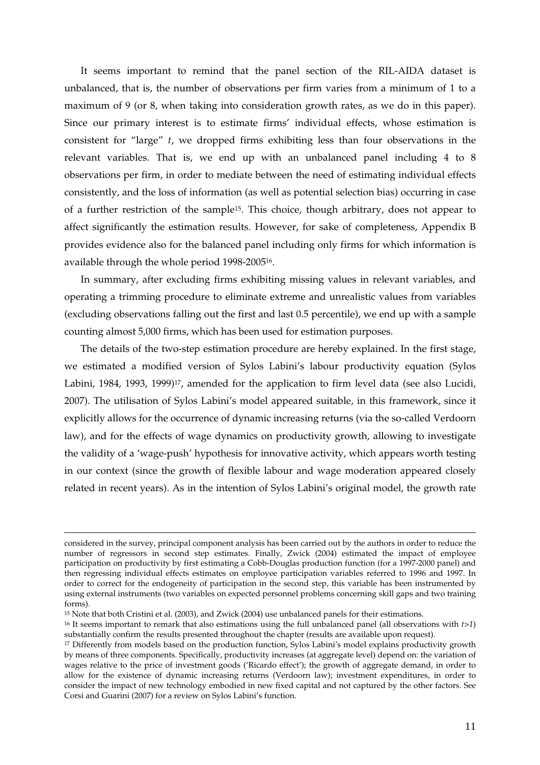It seems important to remind that the panel section of the RIL-AIDA dataset is unbalanced, that is, the number of observations per firm varies from a minimum of 1 to a maximum of 9 (or 8, when taking into consideration growth rates, as we do in this paper). Since our primary interest is to estimate firms' individual effects, whose estimation is consistent for "large" *t*, we dropped firms exhibiting less than four observations in the relevant variables. That is, we end up with an unbalanced panel including 4 to 8 observations per firm, in order to mediate between the need of estimating individual effects consistently, and the loss of information (as well as potential selection bias) occurring in case of a further restriction of the sample15. This choice, though arbitrary, does not appear to affect significantly the estimation results. However, for sake of completeness, Appendix B provides evidence also for the balanced panel including only firms for which information is available through the whole period 1998-200516.

In summary, after excluding firms exhibiting missing values in relevant variables, and operating a trimming procedure to eliminate extreme and unrealistic values from variables (excluding observations falling out the first and last 0.5 percentile), we end up with a sample counting almost 5,000 firms, which has been used for estimation purposes.

The details of the two-step estimation procedure are hereby explained. In the first stage, we estimated a modified version of Sylos Labini's labour productivity equation (Sylos Labini, 1984, 1993, 1999)<sup>17</sup>, amended for the application to firm level data (see also Lucidi, 2007). The utilisation of Sylos Labini's model appeared suitable, in this framework, since it explicitly allows for the occurrence of dynamic increasing returns (via the so-called Verdoorn law), and for the effects of wage dynamics on productivity growth, allowing to investigate the validity of a 'wage-push' hypothesis for innovative activity, which appears worth testing in our context (since the growth of flexible labour and wage moderation appeared closely related in recent years). As in the intention of Sylos Labini's original model, the growth rate

considered in the survey, principal component analysis has been carried out by the authors in order to reduce the number of regressors in second step estimates. Finally, Zwick (2004) estimated the impact of employee participation on productivity by first estimating a Cobb-Douglas production function (for a 1997-2000 panel) and then regressing individual effects estimates on employee participation variables referred to 1996 and 1997. In order to correct for the endogeneity of participation in the second step, this variable has been instrumented by using external instruments (two variables on expected personnel problems concerning skill gaps and two training forms).

<sup>15</sup> Note that both Cristini et al. (2003), and Zwick (2004) use unbalanced panels for their estimations.

<sup>16</sup> It seems important to remark that also estimations using the full unbalanced panel (all observations with *t>1*) substantially confirm the results presented throughout the chapter (results are available upon request).

<sup>17</sup> Differently from models based on the production function, Sylos Labini's model explains productivity growth by means of three components. Specifically, productivity increases (at aggregate level) depend on: the variation of wages relative to the price of investment goods ('Ricardo effect'); the growth of aggregate demand, in order to allow for the existence of dynamic increasing returns (Verdoorn law); investment expenditures, in order to consider the impact of new technology embodied in new fixed capital and not captured by the other factors. See Corsi and Guarini (2007) for a review on Sylos Labini's function.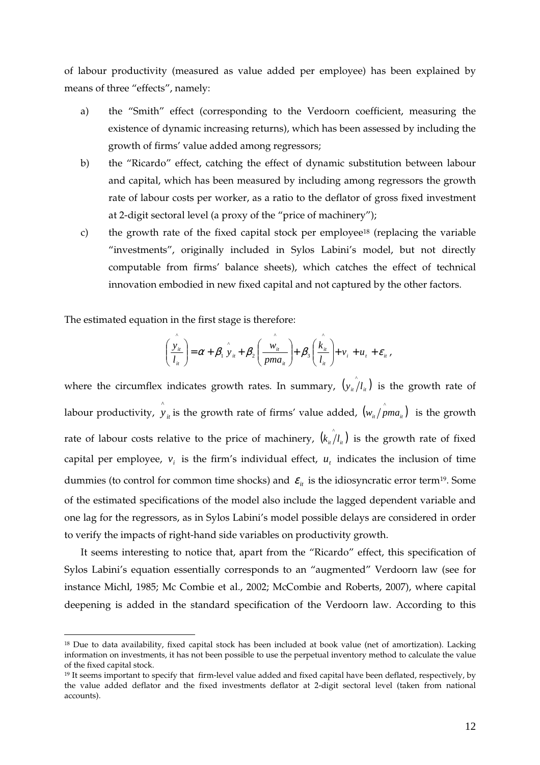of labour productivity (measured as value added per employee) has been explained by means of three "effects", namely:

- a) the "Smith" effect (corresponding to the Verdoorn coefficient, measuring the existence of dynamic increasing returns), which has been assessed by including the growth of firms' value added among regressors;
- b) the "Ricardo" effect, catching the effect of dynamic substitution between labour and capital, which has been measured by including among regressors the growth rate of labour costs per worker, as a ratio to the deflator of gross fixed investment at 2-digit sectoral level (a proxy of the "price of machinery");
- c) the growth rate of the fixed capital stock per employee18 (replacing the variable "investments", originally included in Sylos Labini's model, but not directly computable from firms' balance sheets), which catches the effect of technical innovation embodied in new fixed capital and not captured by the other factors.

The estimated equation in the first stage is therefore:

 $\overline{a}$ 

$$
\left(\frac{\hat{y}_u}{l_u}\right) = \alpha + \beta_1 \hat{y}_u + \beta_2 \left(\frac{\hat{w}_u}{pma_u}\right) + \beta_3 \left(\frac{\hat{k}_u}{l_u}\right) + v_i + u_t + \varepsilon_u,
$$

where the circumflex indicates growth rates. In summary,  $(y_{i} \rho_{i}/l_{i})$  is the growth rate of labour productivity,  $\hat{y}_i$  is the growth rate of firms' value added,  $(w_{i}/\hat{p} m a_{i})$  is the growth rate of labour costs relative to the price of machinery,  $(k_{ii}/l_{ii})$  is the growth rate of fixed capital per employee,  $v_i$  is the firm's individual effect,  $u_i$  indicates the inclusion of time dummies (to control for common time shocks) and  $\varepsilon$ <sub>*it*</sub> is the idiosyncratic error term<sup>19</sup>. Some of the estimated specifications of the model also include the lagged dependent variable and one lag for the regressors, as in Sylos Labini's model possible delays are considered in order to verify the impacts of right-hand side variables on productivity growth.

It seems interesting to notice that, apart from the "Ricardo" effect, this specification of Sylos Labini's equation essentially corresponds to an "augmented" Verdoorn law (see for instance Michl, 1985; Mc Combie et al., 2002; McCombie and Roberts, 2007), where capital deepening is added in the standard specification of the Verdoorn law. According to this

<sup>&</sup>lt;sup>18</sup> Due to data availability, fixed capital stock has been included at book value (net of amortization). Lacking information on investments, it has not been possible to use the perpetual inventory method to calculate the value of the fixed capital stock.

<sup>&</sup>lt;sup>19</sup> It seems important to specify that firm-level value added and fixed capital have been deflated, respectively, by the value added deflator and the fixed investments deflator at 2-digit sectoral level (taken from national accounts).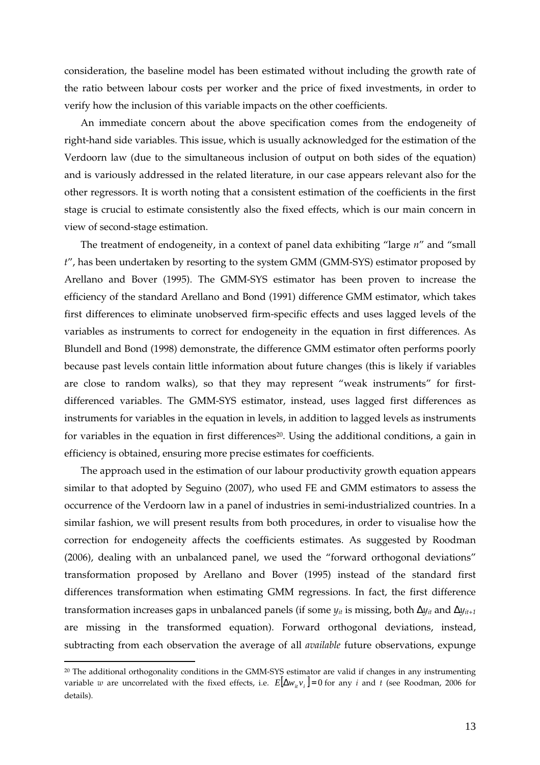consideration, the baseline model has been estimated without including the growth rate of the ratio between labour costs per worker and the price of fixed investments, in order to verify how the inclusion of this variable impacts on the other coefficients.

An immediate concern about the above specification comes from the endogeneity of right-hand side variables. This issue, which is usually acknowledged for the estimation of the Verdoorn law (due to the simultaneous inclusion of output on both sides of the equation) and is variously addressed in the related literature, in our case appears relevant also for the other regressors. It is worth noting that a consistent estimation of the coefficients in the first stage is crucial to estimate consistently also the fixed effects, which is our main concern in view of second-stage estimation.

The treatment of endogeneity, in a context of panel data exhibiting "large *n*" and "small *t*", has been undertaken by resorting to the system GMM (GMM-SYS) estimator proposed by Arellano and Bover (1995). The GMM-SYS estimator has been proven to increase the efficiency of the standard Arellano and Bond (1991) difference GMM estimator, which takes first differences to eliminate unobserved firm-specific effects and uses lagged levels of the variables as instruments to correct for endogeneity in the equation in first differences. As Blundell and Bond (1998) demonstrate, the difference GMM estimator often performs poorly because past levels contain little information about future changes (this is likely if variables are close to random walks), so that they may represent "weak instruments" for firstdifferenced variables. The GMM-SYS estimator, instead, uses lagged first differences as instruments for variables in the equation in levels, in addition to lagged levels as instruments for variables in the equation in first differences<sup>20</sup>. Using the additional conditions, a gain in efficiency is obtained, ensuring more precise estimates for coefficients.

The approach used in the estimation of our labour productivity growth equation appears similar to that adopted by Seguino (2007), who used FE and GMM estimators to assess the occurrence of the Verdoorn law in a panel of industries in semi-industrialized countries. In a similar fashion, we will present results from both procedures, in order to visualise how the correction for endogeneity affects the coefficients estimates. As suggested by Roodman (2006), dealing with an unbalanced panel, we used the "forward orthogonal deviations" transformation proposed by Arellano and Bover (1995) instead of the standard first differences transformation when estimating GMM regressions. In fact, the first difference transformation increases gaps in unbalanced panels (if some *yit* is missing, both ∆*yit* and ∆*yit+1* are missing in the transformed equation). Forward orthogonal deviations, instead, subtracting from each observation the average of all *available* future observations, expunge

<sup>20</sup> The additional orthogonality conditions in the GMM-SYS estimator are valid if changes in any instrumenting variable *w* are uncorrelated with the fixed effects, i.e.  $E[\Delta w_i v_i] = 0$  for any *i* and *t* (see Roodman, 2006 for details).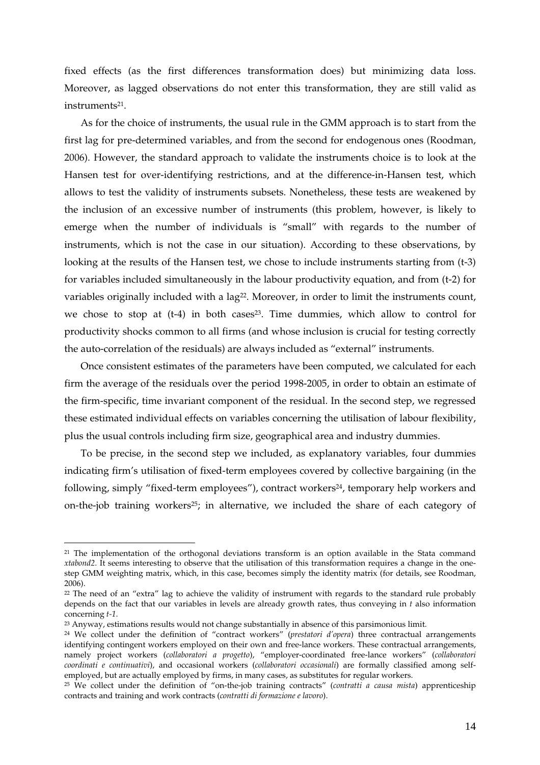fixed effects (as the first differences transformation does) but minimizing data loss. Moreover, as lagged observations do not enter this transformation, they are still valid as instruments21.

As for the choice of instruments, the usual rule in the GMM approach is to start from the first lag for pre-determined variables, and from the second for endogenous ones (Roodman, 2006). However, the standard approach to validate the instruments choice is to look at the Hansen test for over-identifying restrictions, and at the difference-in-Hansen test, which allows to test the validity of instruments subsets. Nonetheless, these tests are weakened by the inclusion of an excessive number of instruments (this problem, however, is likely to emerge when the number of individuals is "small" with regards to the number of instruments, which is not the case in our situation). According to these observations, by looking at the results of the Hansen test, we chose to include instruments starting from (t-3) for variables included simultaneously in the labour productivity equation, and from (t-2) for variables originally included with a lag<sup>22</sup>. Moreover, in order to limit the instruments count, we chose to stop at (t-4) in both cases<sup>23</sup>. Time dummies, which allow to control for productivity shocks common to all firms (and whose inclusion is crucial for testing correctly the auto-correlation of the residuals) are always included as "external" instruments.

Once consistent estimates of the parameters have been computed, we calculated for each firm the average of the residuals over the period 1998-2005, in order to obtain an estimate of the firm-specific, time invariant component of the residual. In the second step, we regressed these estimated individual effects on variables concerning the utilisation of labour flexibility, plus the usual controls including firm size, geographical area and industry dummies.

To be precise, in the second step we included, as explanatory variables, four dummies indicating firm's utilisation of fixed-term employees covered by collective bargaining (in the following, simply "fixed-term employees"), contract workers<sup>24</sup>, temporary help workers and on-the-job training workers25; in alternative, we included the share of each category of

<sup>&</sup>lt;sup>21</sup> The implementation of the orthogonal deviations transform is an option available in the Stata command *xtabond2*. It seems interesting to observe that the utilisation of this transformation requires a change in the onestep GMM weighting matrix, which, in this case, becomes simply the identity matrix (for details, see Roodman, 2006).

<sup>&</sup>lt;sup>22</sup> The need of an "extra" lag to achieve the validity of instrument with regards to the standard rule probably depends on the fact that our variables in levels are already growth rates, thus conveying in *t* also information concerning *t-1*.

<sup>23</sup> Anyway, estimations results would not change substantially in absence of this parsimonious limit.

<sup>24</sup> We collect under the definition of "contract workers" (*prestatori d'opera*) three contractual arrangements identifying contingent workers employed on their own and free-lance workers. These contractual arrangements, namely project workers (*collaboratori a progetto*), "employer-coordinated free-lance workers" (*collaboratori coordinati e continuativi*), and occasional workers (*collaboratori occasionali*) are formally classified among selfemployed, but are actually employed by firms, in many cases, as substitutes for regular workers.

<sup>25</sup> We collect under the definition of "on-the-job training contracts" (*contratti a causa mista*) apprenticeship contracts and training and work contracts (*contratti di formazione e lavoro*).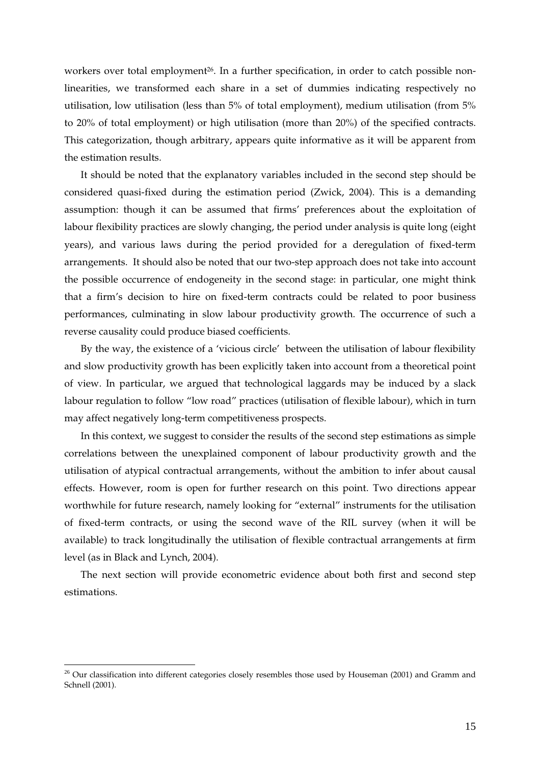workers over total employment<sup>26</sup>. In a further specification, in order to catch possible nonlinearities, we transformed each share in a set of dummies indicating respectively no utilisation, low utilisation (less than 5% of total employment), medium utilisation (from 5% to 20% of total employment) or high utilisation (more than 20%) of the specified contracts. This categorization, though arbitrary, appears quite informative as it will be apparent from the estimation results.

It should be noted that the explanatory variables included in the second step should be considered quasi-fixed during the estimation period (Zwick, 2004). This is a demanding assumption: though it can be assumed that firms' preferences about the exploitation of labour flexibility practices are slowly changing, the period under analysis is quite long (eight years), and various laws during the period provided for a deregulation of fixed-term arrangements. It should also be noted that our two-step approach does not take into account the possible occurrence of endogeneity in the second stage: in particular, one might think that a firm's decision to hire on fixed-term contracts could be related to poor business performances, culminating in slow labour productivity growth. The occurrence of such a reverse causality could produce biased coefficients.

By the way, the existence of a 'vicious circle' between the utilisation of labour flexibility and slow productivity growth has been explicitly taken into account from a theoretical point of view. In particular, we argued that technological laggards may be induced by a slack labour regulation to follow "low road" practices (utilisation of flexible labour), which in turn may affect negatively long-term competitiveness prospects.

In this context, we suggest to consider the results of the second step estimations as simple correlations between the unexplained component of labour productivity growth and the utilisation of atypical contractual arrangements, without the ambition to infer about causal effects. However, room is open for further research on this point. Two directions appear worthwhile for future research, namely looking for "external" instruments for the utilisation of fixed-term contracts, or using the second wave of the RIL survey (when it will be available) to track longitudinally the utilisation of flexible contractual arrangements at firm level (as in Black and Lynch, 2004).

The next section will provide econometric evidence about both first and second step estimations.

<sup>&</sup>lt;sup>26</sup> Our classification into different categories closely resembles those used by Houseman (2001) and Gramm and Schnell (2001).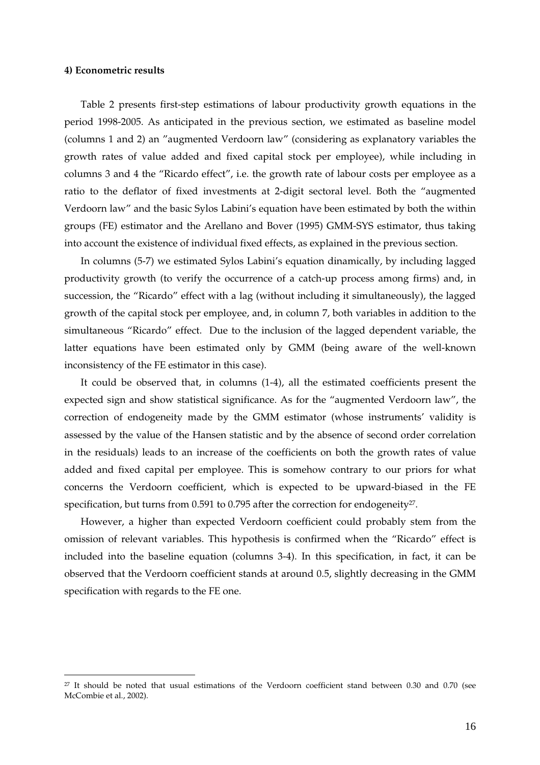#### **4) Econometric results**

 $\overline{a}$ 

Table 2 presents first-step estimations of labour productivity growth equations in the period 1998-2005. As anticipated in the previous section, we estimated as baseline model (columns 1 and 2) an "augmented Verdoorn law" (considering as explanatory variables the growth rates of value added and fixed capital stock per employee), while including in columns 3 and 4 the "Ricardo effect", i.e. the growth rate of labour costs per employee as a ratio to the deflator of fixed investments at 2-digit sectoral level. Both the "augmented Verdoorn law" and the basic Sylos Labini's equation have been estimated by both the within groups (FE) estimator and the Arellano and Bover (1995) GMM-SYS estimator, thus taking into account the existence of individual fixed effects, as explained in the previous section.

In columns (5-7) we estimated Sylos Labini's equation dinamically, by including lagged productivity growth (to verify the occurrence of a catch-up process among firms) and, in succession, the "Ricardo" effect with a lag (without including it simultaneously), the lagged growth of the capital stock per employee, and, in column 7, both variables in addition to the simultaneous "Ricardo" effect. Due to the inclusion of the lagged dependent variable, the latter equations have been estimated only by GMM (being aware of the well-known inconsistency of the FE estimator in this case).

It could be observed that, in columns (1-4), all the estimated coefficients present the expected sign and show statistical significance. As for the "augmented Verdoorn law", the correction of endogeneity made by the GMM estimator (whose instruments' validity is assessed by the value of the Hansen statistic and by the absence of second order correlation in the residuals) leads to an increase of the coefficients on both the growth rates of value added and fixed capital per employee. This is somehow contrary to our priors for what concerns the Verdoorn coefficient, which is expected to be upward-biased in the FE specification, but turns from 0.591 to 0.795 after the correction for endogeneity<sup>27</sup>.

However, a higher than expected Verdoorn coefficient could probably stem from the omission of relevant variables. This hypothesis is confirmed when the "Ricardo" effect is included into the baseline equation (columns 3-4). In this specification, in fact, it can be observed that the Verdoorn coefficient stands at around 0.5, slightly decreasing in the GMM specification with regards to the FE one.

<sup>27</sup> It should be noted that usual estimations of the Verdoorn coefficient stand between 0.30 and 0.70 (see McCombie et al., 2002).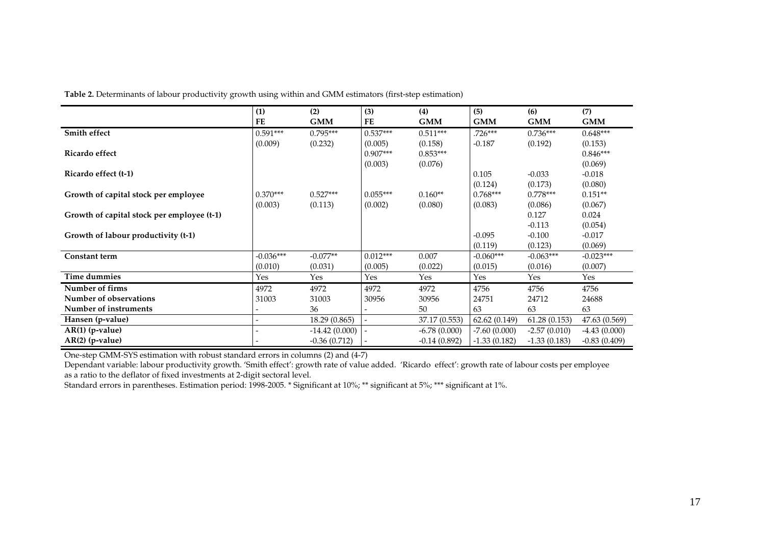**Table 2.** Determinants of labour productivity growth using within and GMM estimators (first-step estimation)

|                                            | (1)         | (2)             | (3)        | (4)            | (5)            | (6)            | (7)            |
|--------------------------------------------|-------------|-----------------|------------|----------------|----------------|----------------|----------------|
|                                            | <b>FE</b>   | <b>GMM</b>      | FE         | <b>GMM</b>     | <b>GMM</b>     | <b>GMM</b>     | <b>GMM</b>     |
| Smith effect                               | $0.591***$  | $0.795***$      | $0.537***$ | $0.511***$     | $.726***$      | $0.736***$     | $0.648***$     |
|                                            | (0.009)     | (0.232)         | (0.005)    | (0.158)        | $-0.187$       | (0.192)        | (0.153)        |
| Ricardo effect                             |             |                 | $0.907***$ | $0.853***$     |                |                | $0.846***$     |
|                                            |             |                 | (0.003)    | (0.076)        |                |                | (0.069)        |
| Ricardo effect (t-1)                       |             |                 |            |                | 0.105          | $-0.033$       | $-0.018$       |
|                                            |             |                 |            |                | (0.124)        | (0.173)        | (0.080)        |
| Growth of capital stock per employee       | $0.370***$  | $0.527***$      | $0.055***$ | $0.160**$      | $0.768***$     | $0.778***$     | $0.151**$      |
|                                            | (0.003)     | (0.113)         | (0.002)    | (0.080)        | (0.083)        | (0.086)        | (0.067)        |
| Growth of capital stock per employee (t-1) |             |                 |            |                |                | 0.127          | 0.024          |
|                                            |             |                 |            |                |                | $-0.113$       | (0.054)        |
| Growth of labour productivity (t-1)        |             |                 |            |                | $-0.095$       | $-0.100$       | $-0.017$       |
|                                            |             |                 |            |                | (0.119)        | (0.123)        | (0.069)        |
| <b>Constant term</b>                       | $-0.036***$ | $-0.077**$      | $0.012***$ | 0.007          | $-0.060***$    | $-0.063***$    | $-0.023***$    |
|                                            | (0.010)     | (0.031)         | (0.005)    | (0.022)        | (0.015)        | (0.016)        | (0.007)        |
| Time dummies                               | Yes         | Yes             | Yes        | Yes            | Yes            | Yes            | Yes            |
| Number of firms                            | 4972        | 4972            | 4972       | 4972           | 4756           | 4756           | 4756           |
| Number of observations                     | 31003       | 31003           | 30956      | 30956          | 24751          | 24712          | 24688          |
| Number of instruments                      |             | 36              |            | 50             | 63             | 63             | 63             |
| Hansen (p-value)                           |             | 18.29 (0.865)   |            | 37.17 (0.553)  | 62.62(0.149)   | 61.28(0.153)   | 47.63 (0.569)  |
| $AR(1)$ (p-value)                          |             | $-14.42(0.000)$ |            | $-6.78(0.000)$ | $-7.60(0.000)$ | $-2.57(0.010)$ | $-4.43(0.000)$ |
| $AR(2)$ (p-value)                          |             | $-0.36(0.712)$  |            | $-0.14(0.892)$ | $-1.33(0.182)$ | $-1.33(0.183)$ | $-0.83(0.409)$ |

One-step GMM-SYS estimation with robust standard errors in columns (2) and (4-7)

Dependant variable: labour productivity growth. 'Smith effect': growth rate of value added. 'Ricardo effect': growth rate of labour costs per employee as a ratio to the deflator of fixed investments at 2-digit sectoral level.

Standard errors in parentheses. Estimation period: 1998-2005. \* Significant at 10%; \*\* significant at 5%; \*\*\* significant at 1%.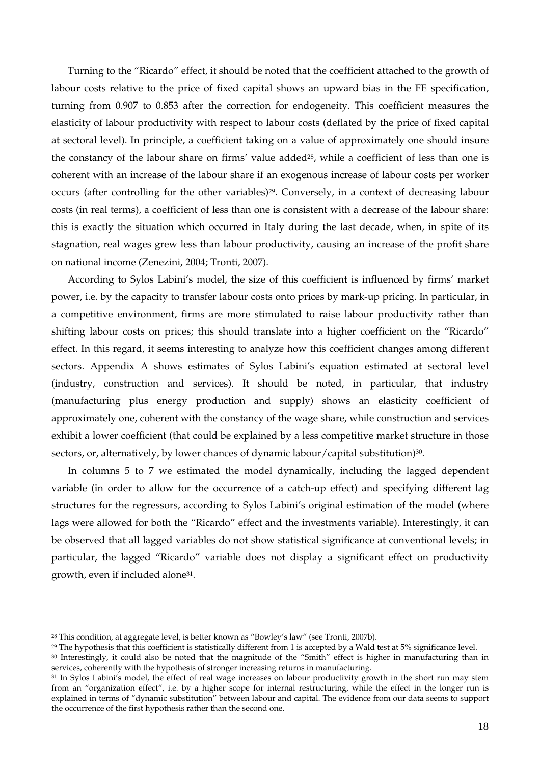Turning to the "Ricardo" effect, it should be noted that the coefficient attached to the growth of labour costs relative to the price of fixed capital shows an upward bias in the FE specification, turning from 0.907 to 0.853 after the correction for endogeneity. This coefficient measures the elasticity of labour productivity with respect to labour costs (deflated by the price of fixed capital at sectoral level). In principle, a coefficient taking on a value of approximately one should insure the constancy of the labour share on firms' value added<sup>28</sup>, while a coefficient of less than one is coherent with an increase of the labour share if an exogenous increase of labour costs per worker occurs (after controlling for the other variables)<sup>29</sup>. Conversely, in a context of decreasing labour costs (in real terms), a coefficient of less than one is consistent with a decrease of the labour share: this is exactly the situation which occurred in Italy during the last decade, when, in spite of its stagnation, real wages grew less than labour productivity, causing an increase of the profit share on national income (Zenezini, 2004; Tronti, 2007).

According to Sylos Labini's model, the size of this coefficient is influenced by firms' market power, i.e. by the capacity to transfer labour costs onto prices by mark-up pricing. In particular, in a competitive environment, firms are more stimulated to raise labour productivity rather than shifting labour costs on prices; this should translate into a higher coefficient on the "Ricardo" effect. In this regard, it seems interesting to analyze how this coefficient changes among different sectors. Appendix A shows estimates of Sylos Labini's equation estimated at sectoral level (industry, construction and services). It should be noted, in particular, that industry (manufacturing plus energy production and supply) shows an elasticity coefficient of approximately one, coherent with the constancy of the wage share, while construction and services exhibit a lower coefficient (that could be explained by a less competitive market structure in those sectors, or, alternatively, by lower chances of dynamic labour/capital substitution)<sup>30</sup>.

In columns 5 to 7 we estimated the model dynamically, including the lagged dependent variable (in order to allow for the occurrence of a catch-up effect) and specifying different lag structures for the regressors, according to Sylos Labini's original estimation of the model (where lags were allowed for both the "Ricardo" effect and the investments variable). Interestingly, it can be observed that all lagged variables do not show statistical significance at conventional levels; in particular, the lagged "Ricardo" variable does not display a significant effect on productivity growth, even if included alone31.

<sup>28</sup> This condition, at aggregate level, is better known as "Bowley's law" (see Tronti, 2007b).

<sup>&</sup>lt;sup>29</sup> The hypothesis that this coefficient is statistically different from 1 is accepted by a Wald test at 5% significance level. <sup>30</sup> Interestingly, it could also be noted that the magnitude of the "Smith" effect is higher in manufacturing than in services, coherently with the hypothesis of stronger increasing returns in manufacturing.

<sup>&</sup>lt;sup>31</sup> In Sylos Labini's model, the effect of real wage increases on labour productivity growth in the short run may stem from an "organization effect", i.e. by a higher scope for internal restructuring, while the effect in the longer run is explained in terms of "dynamic substitution" between labour and capital. The evidence from our data seems to support the occurrence of the first hypothesis rather than the second one.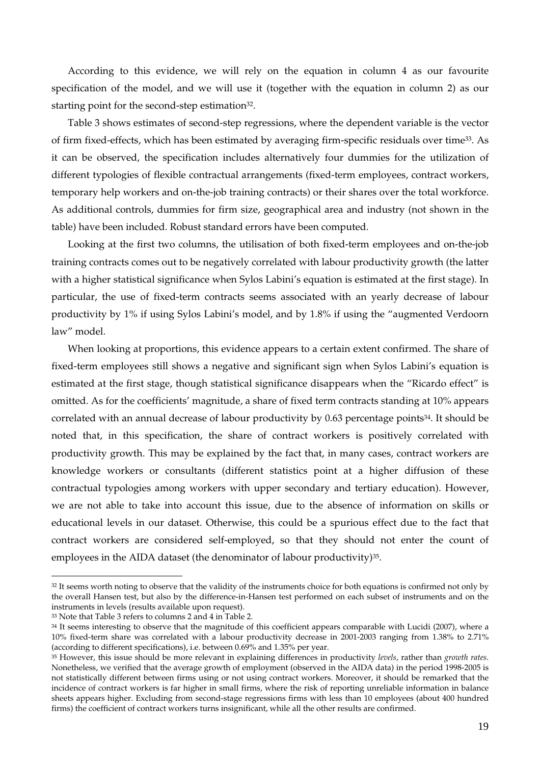According to this evidence, we will rely on the equation in column 4 as our favourite specification of the model, and we will use it (together with the equation in column 2) as our starting point for the second-step estimation<sup>32</sup>.

Table 3 shows estimates of second-step regressions, where the dependent variable is the vector of firm fixed-effects, which has been estimated by averaging firm-specific residuals over time33. As it can be observed, the specification includes alternatively four dummies for the utilization of different typologies of flexible contractual arrangements (fixed-term employees, contract workers, temporary help workers and on-the-job training contracts) or their shares over the total workforce. As additional controls, dummies for firm size, geographical area and industry (not shown in the table) have been included. Robust standard errors have been computed.

Looking at the first two columns, the utilisation of both fixed-term employees and on-the-job training contracts comes out to be negatively correlated with labour productivity growth (the latter with a higher statistical significance when Sylos Labini's equation is estimated at the first stage). In particular, the use of fixed-term contracts seems associated with an yearly decrease of labour productivity by 1% if using Sylos Labini's model, and by 1.8% if using the "augmented Verdoorn law" model.

When looking at proportions, this evidence appears to a certain extent confirmed. The share of fixed-term employees still shows a negative and significant sign when Sylos Labini's equation is estimated at the first stage, though statistical significance disappears when the "Ricardo effect" is omitted. As for the coefficients' magnitude, a share of fixed term contracts standing at 10% appears correlated with an annual decrease of labour productivity by 0.63 percentage points<sup>34</sup>. It should be noted that, in this specification, the share of contract workers is positively correlated with productivity growth. This may be explained by the fact that, in many cases, contract workers are knowledge workers or consultants (different statistics point at a higher diffusion of these contractual typologies among workers with upper secondary and tertiary education). However, we are not able to take into account this issue, due to the absence of information on skills or educational levels in our dataset. Otherwise, this could be a spurious effect due to the fact that contract workers are considered self-employed, so that they should not enter the count of employees in the AIDA dataset (the denominator of labour productivity)<sup>35</sup>.

<sup>&</sup>lt;sup>32</sup> It seems worth noting to observe that the validity of the instruments choice for both equations is confirmed not only by the overall Hansen test, but also by the difference-in-Hansen test performed on each subset of instruments and on the instruments in levels (results available upon request).

<sup>33</sup> Note that Table 3 refers to columns 2 and 4 in Table 2.

<sup>&</sup>lt;sup>34</sup> It seems interesting to observe that the magnitude of this coefficient appears comparable with Lucidi (2007), where a 10% fixed-term share was correlated with a labour productivity decrease in 2001-2003 ranging from 1.38% to 2.71% (according to different specifications), i.e. between 0.69% and 1.35% per year.

<sup>35</sup> However, this issue should be more relevant in explaining differences in productivity *levels*, rather than *growth rates*. Nonetheless, we verified that the average growth of employment (observed in the AIDA data) in the period 1998-2005 is not statistically different between firms using or not using contract workers. Moreover, it should be remarked that the incidence of contract workers is far higher in small firms, where the risk of reporting unreliable information in balance sheets appears higher. Excluding from second-stage regressions firms with less than 10 employees (about 400 hundred firms) the coefficient of contract workers turns insignificant, while all the other results are confirmed.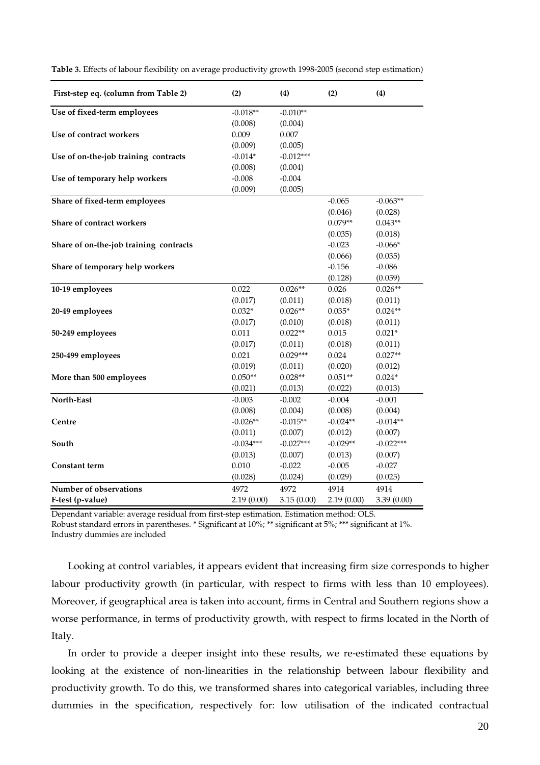| First-step eq. (column from Table 2)   | (2)         | (4)         | (2)        | (4)         |
|----------------------------------------|-------------|-------------|------------|-------------|
| Use of fixed-term employees            | $-0.018**$  | $-0.010**$  |            |             |
|                                        | (0.008)     | (0.004)     |            |             |
| Use of contract workers                | 0.009       | 0.007       |            |             |
|                                        | (0.009)     | (0.005)     |            |             |
| Use of on-the-job training contracts   | $-0.014*$   | $-0.012***$ |            |             |
|                                        | (0.008)     | (0.004)     |            |             |
| Use of temporary help workers          | $-0.008$    | $-0.004$    |            |             |
|                                        | (0.009)     | (0.005)     |            |             |
| Share of fixed-term employees          |             |             | $-0.065$   | $-0.063**$  |
|                                        |             |             | (0.046)    | (0.028)     |
| Share of contract workers              |             |             | $0.079**$  | $0.043**$   |
|                                        |             |             | (0.035)    | (0.018)     |
| Share of on-the-job training contracts |             |             | $-0.023$   | $-0.066*$   |
|                                        |             |             | (0.066)    | (0.035)     |
| Share of temporary help workers        |             |             | $-0.156$   | $-0.086$    |
|                                        |             |             | (0.128)    | (0.059)     |
| 10-19 employees                        | 0.022       | $0.026**$   | 0.026      | $0.026**$   |
|                                        | (0.017)     | (0.011)     | (0.018)    | (0.011)     |
| 20-49 employees                        | $0.032*$    | $0.026**$   | $0.035*$   | $0.024**$   |
|                                        | (0.017)     | (0.010)     | (0.018)    | (0.011)     |
| 50-249 employees                       | 0.011       | $0.022**$   | 0.015      | $0.021*$    |
|                                        | (0.017)     | (0.011)     | (0.018)    | (0.011)     |
| 250-499 employees                      | 0.021       | $0.029***$  | 0.024      | $0.027**$   |
|                                        | (0.019)     | (0.011)     | (0.020)    | (0.012)     |
| More than 500 employees                | $0.050**$   | $0.028**$   | $0.051**$  | $0.024*$    |
|                                        | (0.021)     | (0.013)     | (0.022)    | (0.013)     |
| North-East                             | $-0.003$    | $-0.002$    | $-0.004$   | $-0.001$    |
|                                        | (0.008)     | (0.004)     | (0.008)    | (0.004)     |
| Centre                                 | $-0.026**$  | $-0.015**$  | $-0.024**$ | $-0.014**$  |
|                                        | (0.011)     | (0.007)     | (0.012)    | (0.007)     |
| South                                  | $-0.034***$ | $-0.027***$ | $-0.029**$ | $-0.022***$ |
|                                        | (0.013)     | (0.007)     | (0.013)    | (0.007)     |
| <b>Constant term</b>                   | 0.010       | $-0.022$    | $-0.005$   | $-0.027$    |
|                                        | (0.028)     | (0.024)     | (0.029)    | (0.025)     |
| Number of observations                 | 4972        | 4972        | 4914       | 4914        |
| F-test (p-value)                       | 2.19(0.00)  | 3.15(0.00)  | 2.19(0.00) | 3.39(0.00)  |

**Table 3.** Effects of labour flexibility on average productivity growth 1998-2005 (second step estimation)

Dependant variable: average residual from first-step estimation. Estimation method: OLS. Robust standard errors in parentheses. \* Significant at 10%; \*\* significant at 5%; \*\*\* significant at 1%. Industry dummies are included

Looking at control variables, it appears evident that increasing firm size corresponds to higher labour productivity growth (in particular, with respect to firms with less than 10 employees). Moreover, if geographical area is taken into account, firms in Central and Southern regions show a worse performance, in terms of productivity growth, with respect to firms located in the North of Italy.

In order to provide a deeper insight into these results, we re-estimated these equations by looking at the existence of non-linearities in the relationship between labour flexibility and productivity growth. To do this, we transformed shares into categorical variables, including three dummies in the specification, respectively for: low utilisation of the indicated contractual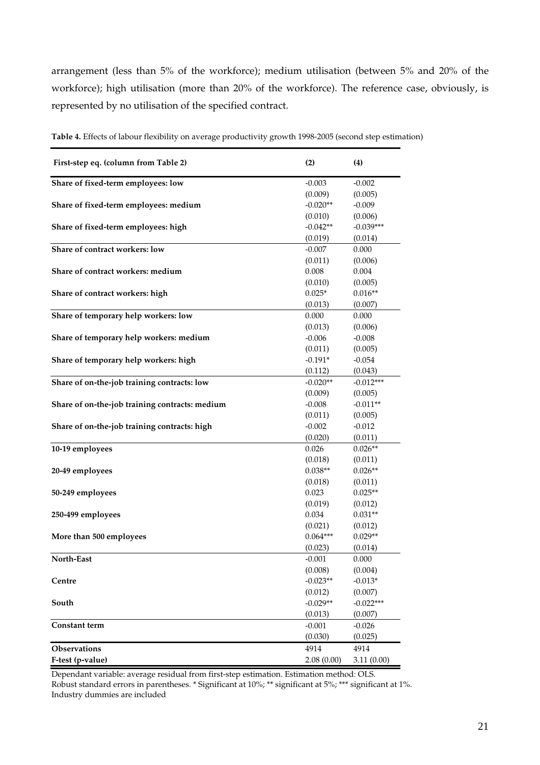arrangement (less than 5% of the workforce); medium utilisation (between 5% and 20% of the workforce); high utilisation (more than 20% of the workforce). The reference case, obviously, is represented by no utilisation of the specified contract.

| First-step eq. (column from Table 2)           | (2)        | (4)         |
|------------------------------------------------|------------|-------------|
| Share of fixed-term employees: low             | $-0.003$   | $-0.002$    |
|                                                | (0.009)    | (0.005)     |
| Share of fixed-term employees: medium          | $-0.020**$ | $-0.009$    |
|                                                | (0.010)    | (0.006)     |
| Share of fixed-term employees: high            | $-0.042**$ | $-0.039***$ |
|                                                | (0.019)    | (0.014)     |
| Share of contract workers: low                 | $-0.007$   | 0.000       |
|                                                | (0.011)    | (0.006)     |
| Share of contract workers: medium              | 0.008      | 0.004       |
|                                                | (0.010)    | (0.005)     |
| Share of contract workers: high                | $0.025*$   | $0.016**$   |
|                                                | (0.013)    | (0.007)     |
| Share of temporary help workers: low           | 0.000      | 0.000       |
|                                                | (0.013)    | (0.006)     |
| Share of temporary help workers: medium        | $-0.006$   | $-0.008$    |
|                                                | (0.011)    | (0.005)     |
| Share of temporary help workers: high          | $-0.191*$  | $-0.054$    |
|                                                | (0.112)    | (0.043)     |
| Share of on-the-job training contracts: low    | $-0.020**$ | $-0.012***$ |
|                                                | (0.009)    | (0.005)     |
| Share of on-the-job training contracts: medium | $-0.008$   | $-0.011**$  |
|                                                | (0.011)    | (0.005)     |
| Share of on-the-job training contracts: high   | $-0.002$   | $-0.012$    |
|                                                | (0.020)    | (0.011)     |
| 10-19 employees                                | 0.026      | $0.026**$   |
|                                                | (0.018)    | (0.011)     |
| 20-49 employees                                | $0.038**$  | $0.026**$   |
|                                                | (0.018)    | (0.011)     |
| 50-249 employees                               | 0.023      | $0.025**$   |
|                                                | (0.019)    | (0.012)     |
| 250-499 employees                              | 0.034      | $0.031**$   |
|                                                | (0.021)    | (0.012)     |
| More than 500 employees                        | $0.064***$ | $0.029**$   |
|                                                | (0.023)    | (0.014)     |
| North-East                                     | $-0.001$   | 0.000       |
|                                                | (0.008)    | (0.004)     |
| Centre                                         | $-0.023**$ | $-0.013*$   |
|                                                | (0.012)    | (0.007)     |
| South                                          | $-0.029**$ | $-0.022***$ |
|                                                | (0.013)    | (0.007)     |
| Constant term                                  | $-0.001$   | $-0.026$    |
|                                                | (0.030)    | (0.025)     |
| Observations                                   | 4914       | 4914        |
| F-test (p-value)                               | 2.08(0.00) | 3.11(0.00)  |

**Table 4.** Effects of labour flexibility on average productivity growth 1998-2005 (second step estimation)

Dependant variable: average residual from first-step estimation. Estimation method: OLS. Robust standard errors in parentheses. \* Significant at 10%; \*\* significant at 5%; \*\*\* significant at 1%. Industry dummies are included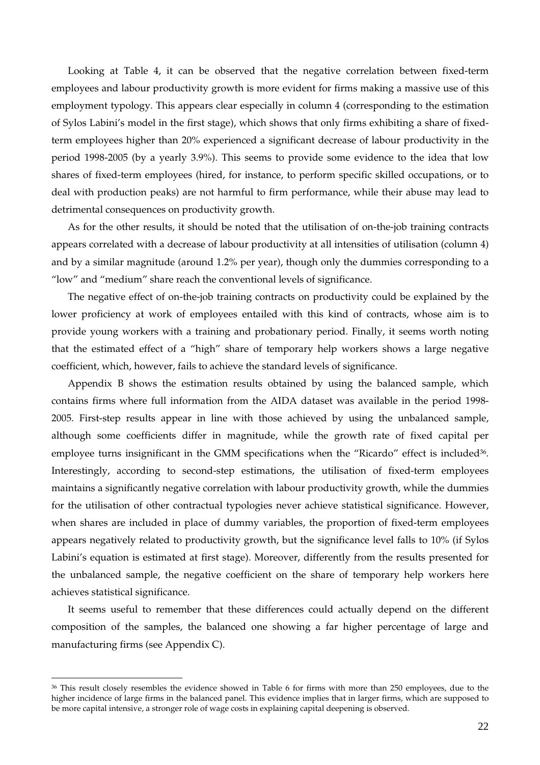Looking at Table 4, it can be observed that the negative correlation between fixed-term employees and labour productivity growth is more evident for firms making a massive use of this employment typology. This appears clear especially in column 4 (corresponding to the estimation of Sylos Labini's model in the first stage), which shows that only firms exhibiting a share of fixedterm employees higher than 20% experienced a significant decrease of labour productivity in the period 1998-2005 (by a yearly 3.9%). This seems to provide some evidence to the idea that low shares of fixed-term employees (hired, for instance, to perform specific skilled occupations, or to deal with production peaks) are not harmful to firm performance, while their abuse may lead to detrimental consequences on productivity growth.

As for the other results, it should be noted that the utilisation of on-the-job training contracts appears correlated with a decrease of labour productivity at all intensities of utilisation (column 4) and by a similar magnitude (around 1.2% per year), though only the dummies corresponding to a "low" and "medium" share reach the conventional levels of significance.

The negative effect of on-the-job training contracts on productivity could be explained by the lower proficiency at work of employees entailed with this kind of contracts, whose aim is to provide young workers with a training and probationary period. Finally, it seems worth noting that the estimated effect of a "high" share of temporary help workers shows a large negative coefficient, which, however, fails to achieve the standard levels of significance.

Appendix B shows the estimation results obtained by using the balanced sample, which contains firms where full information from the AIDA dataset was available in the period 1998- 2005. First-step results appear in line with those achieved by using the unbalanced sample, although some coefficients differ in magnitude, while the growth rate of fixed capital per employee turns insignificant in the GMM specifications when the "Ricardo" effect is included<sup>36</sup>. Interestingly, according to second-step estimations, the utilisation of fixed-term employees maintains a significantly negative correlation with labour productivity growth, while the dummies for the utilisation of other contractual typologies never achieve statistical significance. However, when shares are included in place of dummy variables, the proportion of fixed-term employees appears negatively related to productivity growth, but the significance level falls to 10% (if Sylos Labini's equation is estimated at first stage). Moreover, differently from the results presented for the unbalanced sample, the negative coefficient on the share of temporary help workers here achieves statistical significance.

It seems useful to remember that these differences could actually depend on the different composition of the samples, the balanced one showing a far higher percentage of large and manufacturing firms (see Appendix C).

<sup>36</sup> This result closely resembles the evidence showed in Table 6 for firms with more than 250 employees, due to the higher incidence of large firms in the balanced panel. This evidence implies that in larger firms, which are supposed to be more capital intensive, a stronger role of wage costs in explaining capital deepening is observed.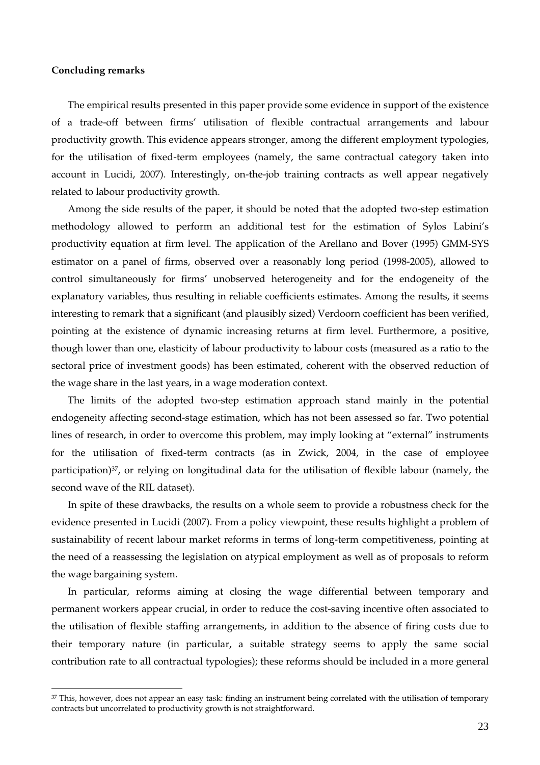## **Concluding remarks**

 $\overline{a}$ 

The empirical results presented in this paper provide some evidence in support of the existence of a trade-off between firms' utilisation of flexible contractual arrangements and labour productivity growth. This evidence appears stronger, among the different employment typologies, for the utilisation of fixed-term employees (namely, the same contractual category taken into account in Lucidi, 2007). Interestingly, on-the-job training contracts as well appear negatively related to labour productivity growth.

Among the side results of the paper, it should be noted that the adopted two-step estimation methodology allowed to perform an additional test for the estimation of Sylos Labini's productivity equation at firm level. The application of the Arellano and Bover (1995) GMM-SYS estimator on a panel of firms, observed over a reasonably long period (1998-2005), allowed to control simultaneously for firms' unobserved heterogeneity and for the endogeneity of the explanatory variables, thus resulting in reliable coefficients estimates. Among the results, it seems interesting to remark that a significant (and plausibly sized) Verdoorn coefficient has been verified, pointing at the existence of dynamic increasing returns at firm level. Furthermore, a positive, though lower than one, elasticity of labour productivity to labour costs (measured as a ratio to the sectoral price of investment goods) has been estimated, coherent with the observed reduction of the wage share in the last years, in a wage moderation context.

The limits of the adopted two-step estimation approach stand mainly in the potential endogeneity affecting second-stage estimation, which has not been assessed so far. Two potential lines of research, in order to overcome this problem, may imply looking at "external" instruments for the utilisation of fixed-term contracts (as in Zwick, 2004, in the case of employee participation)37, or relying on longitudinal data for the utilisation of flexible labour (namely, the second wave of the RIL dataset).

In spite of these drawbacks, the results on a whole seem to provide a robustness check for the evidence presented in Lucidi (2007). From a policy viewpoint, these results highlight a problem of sustainability of recent labour market reforms in terms of long-term competitiveness, pointing at the need of a reassessing the legislation on atypical employment as well as of proposals to reform the wage bargaining system.

In particular, reforms aiming at closing the wage differential between temporary and permanent workers appear crucial, in order to reduce the cost-saving incentive often associated to the utilisation of flexible staffing arrangements, in addition to the absence of firing costs due to their temporary nature (in particular, a suitable strategy seems to apply the same social contribution rate to all contractual typologies); these reforms should be included in a more general

<sup>37</sup> This, however, does not appear an easy task: finding an instrument being correlated with the utilisation of temporary contracts but uncorrelated to productivity growth is not straightforward.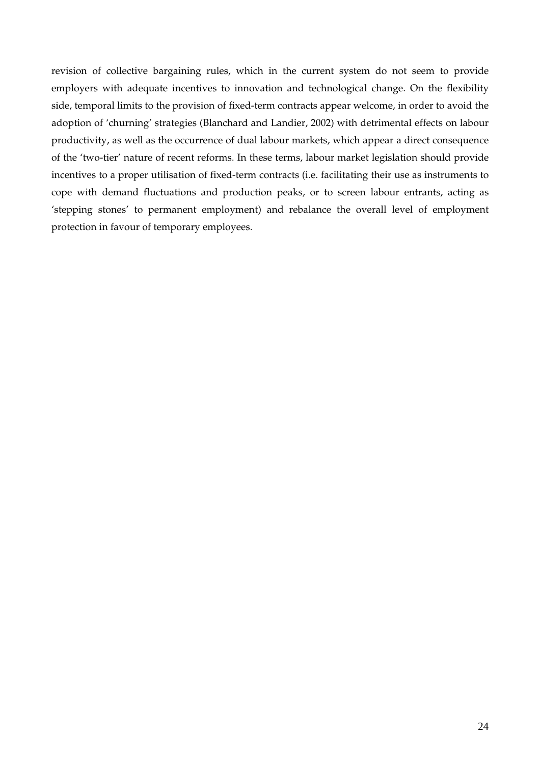revision of collective bargaining rules, which in the current system do not seem to provide employers with adequate incentives to innovation and technological change. On the flexibility side, temporal limits to the provision of fixed-term contracts appear welcome, in order to avoid the adoption of 'churning' strategies (Blanchard and Landier, 2002) with detrimental effects on labour productivity, as well as the occurrence of dual labour markets, which appear a direct consequence of the 'two-tier' nature of recent reforms. In these terms, labour market legislation should provide incentives to a proper utilisation of fixed-term contracts (i.e. facilitating their use as instruments to cope with demand fluctuations and production peaks, or to screen labour entrants, acting as 'stepping stones' to permanent employment) and rebalance the overall level of employment protection in favour of temporary employees.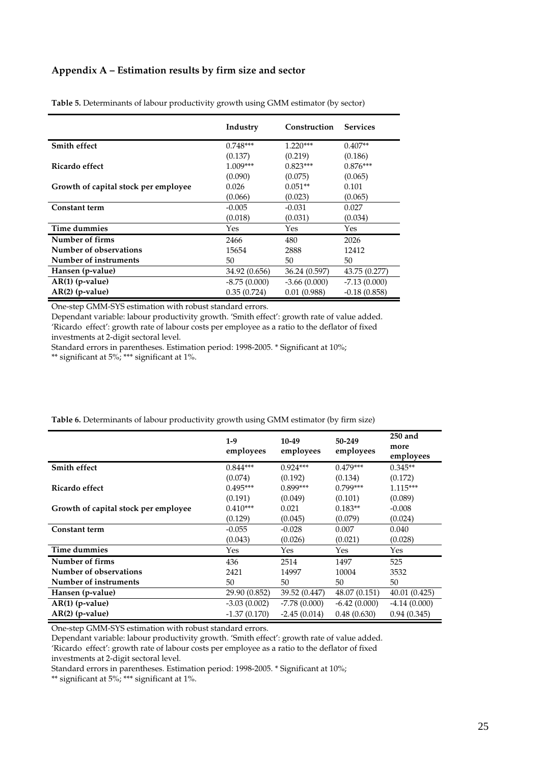## **Appendix A – Estimation results by firm size and sector**

|                                      | Industry       | Construction   | <b>Services</b> |
|--------------------------------------|----------------|----------------|-----------------|
| <b>Smith effect</b>                  | $0.748***$     | $1.220***$     | $0.407**$       |
|                                      | (0.137)        | (0.219)        | (0.186)         |
| Ricardo effect                       | $1.009***$     | $0.823***$     | $0.876***$      |
|                                      | (0.090)        | (0.075)        | (0.065)         |
| Growth of capital stock per employee | 0.026          | $0.051**$      | 0.101           |
|                                      | (0.066)        | (0.023)        | (0.065)         |
| <b>Constant term</b>                 | $-0.005$       | $-0.031$       | 0.027           |
|                                      | (0.018)        | (0.031)        | (0.034)         |
| Time dummies                         | Yes            | Yes            | Yes             |
| Number of firms                      | 2466           | 480            | 2026            |
| Number of observations               | 15654          | 2888           | 12412           |
| Number of instruments                | 50             | 50             | 50              |
| Hansen (p-value)                     | 34.92 (0.656)  | 36.24 (0.597)  | 43.75 (0.277)   |
| $AR(1)$ (p-value)                    | $-8.75(0.000)$ | $-3.66(0.000)$ | $-7.13(0.000)$  |
| $AR(2)$ (p-value)                    | 0.35(0.724)    | 0.01(0.988)    | $-0.18(0.858)$  |

**Table 5.** Determinants of labour productivity growth using GMM estimator (by sector)

One-step GMM-SYS estimation with robust standard errors.

Dependant variable: labour productivity growth. 'Smith effect': growth rate of value added. 'Ricardo effect': growth rate of labour costs per employee as a ratio to the deflator of fixed investments at 2-digit sectoral level.

Standard errors in parentheses. Estimation period: 1998-2005. \* Significant at 10%;

\*\* significant at 5%; \*\*\* significant at 1%.

|                                      | $1-9$<br>employees | 10-49<br>employees | 50-249<br>employees | 250 and<br>more<br>employees |
|--------------------------------------|--------------------|--------------------|---------------------|------------------------------|
| Smith effect                         | $0.844***$         | $0.924***$         | $0.479***$          | $0.345**$                    |
|                                      | (0.074)            | (0.192)            | (0.134)             | (0.172)                      |
| Ricardo effect                       | $0.495***$         | $0.899***$         | $0.799***$          | $1.115***$                   |
|                                      | (0.191)            | (0.049)            | (0.101)             | (0.089)                      |
| Growth of capital stock per employee | $0.410***$         | 0.021              | $0.183**$           | $-0.008$                     |
|                                      | (0.129)            | (0.045)            | (0.079)             | (0.024)                      |
| <b>Constant term</b>                 | $-0.055$           | $-0.028$           | 0.007               | 0.040                        |
|                                      | (0.043)            | (0.026)            | (0.021)             | (0.028)                      |
| Time dummies                         | Yes                | Yes                | Yes                 | Yes                          |
| Number of firms                      | 436                | 2514               | 1497                | 525                          |
| Number of observations               | 2421               | 14997              | 10004               | 3532                         |
| Number of instruments                | 50                 | 50                 | 50                  | 50                           |
| Hansen (p-value)                     | 29.90 (0.852)      | 39.52 (0.447)      | 48.07 (0.151)       | 40.01(0.425)                 |
| $AR(1)$ (p-value)                    | $-3.03(0.002)$     | $-7.78(0.000)$     | $-6.42(0.000)$      | $-4.14(0.000)$               |
| $AR(2)$ (p-value)                    | $-1.37(0.170)$     | $-2.45(0.014)$     | 0.48(0.630)         | 0.94(0.345)                  |

**Table 6.** Determinants of labour productivity growth using GMM estimator (by firm size)

One-step GMM-SYS estimation with robust standard errors.

Dependant variable: labour productivity growth. 'Smith effect': growth rate of value added. 'Ricardo effect': growth rate of labour costs per employee as a ratio to the deflator of fixed

investments at 2-digit sectoral level.

Standard errors in parentheses. Estimation period: 1998-2005. \* Significant at 10%;

\*\* significant at 5%; \*\*\* significant at 1%.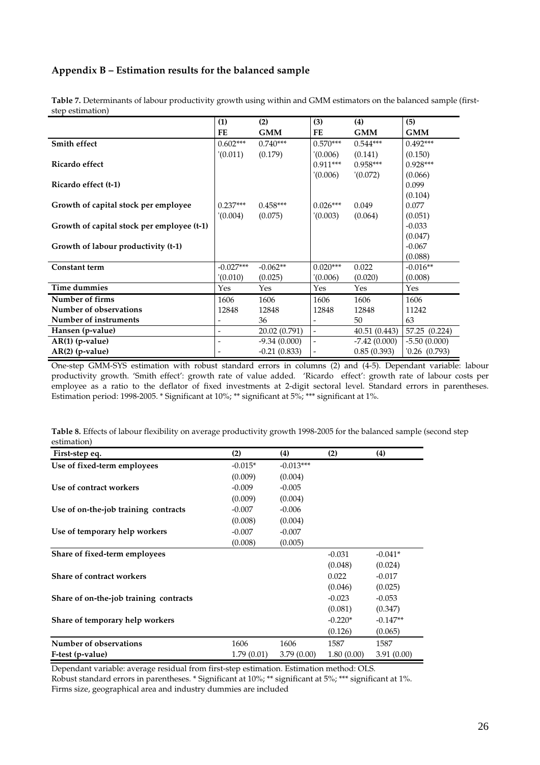## **Appendix B – Estimation results for the balanced sample**

|                                            | (1)                      | (2)            | (3)            | (4)            | (5)              |
|--------------------------------------------|--------------------------|----------------|----------------|----------------|------------------|
|                                            | FE                       | <b>GMM</b>     | FE             | <b>GMM</b>     | <b>GMM</b>       |
| Smith effect                               | $0.602***$               | $0.740***$     | $0.570***$     | $0.544***$     | $0.492***$       |
|                                            | (0.011)                  | (0.179)        | (0.006)        | (0.141)        | (0.150)          |
| Ricardo effect                             |                          |                | $0.911***$     | $0.958***$     | $0.928***$       |
|                                            |                          |                | '(0.006)       | (0.072)        | (0.066)          |
| Ricardo effect (t-1)                       |                          |                |                |                | 0.099            |
|                                            |                          |                |                |                | (0.104)          |
| Growth of capital stock per employee       | $0.237***$               | $0.458***$     | $0.026***$     | 0.049          | 0.077            |
|                                            | (0.004)                  | (0.075)        | '(0.003)       | (0.064)        | (0.051)          |
| Growth of capital stock per employee (t-1) |                          |                |                |                | $-0.033$         |
|                                            |                          |                |                |                | (0.047)          |
| Growth of labour productivity (t-1)        |                          |                |                |                | $-0.067$         |
|                                            |                          |                |                |                | (0.088)          |
| <b>Constant term</b>                       | $-0.027***$              | $-0.062**$     | $0.020***$     | 0.022          | $-0.016**$       |
|                                            | '(0.010)                 | (0.025)        | (0.006)        | (0.020)        | (0.008)          |
| Time dummies                               | Yes                      | Yes            | Yes            | Yes            | Yes              |
| Number of firms                            | 1606                     | 1606           | 1606           | 1606           | 1606             |
| Number of observations                     | 12848                    | 12848          | 12848          | 12848          | 11242            |
| Number of instruments                      | $\overline{\phantom{a}}$ | 36             |                | 50             | 63               |
| Hansen (p-value)                           | $\overline{\phantom{a}}$ | 20.02 (0.791)  | $\blacksquare$ | 40.51 (0.443)  | 57.25 (0.224)    |
| $AR(1)$ (p-value)                          | $\overline{\phantom{a}}$ | $-9.34(0.000)$ | $\overline{a}$ | $-7.42(0.000)$ | $-5.50(0.000)$   |
| $AR(2)$ (p-value)                          |                          | $-0.21(0.833)$ |                | 0.85(0.393)    | $0.26$ $(0.793)$ |

**Table 7.** Determinants of labour productivity growth using within and GMM estimators on the balanced sample (firststep estimation)

One-step GMM-SYS estimation with robust standard errors in columns (2) and (4-5). Dependant variable: labour productivity growth. 'Smith effect': growth rate of value added. 'Ricardo effect': growth rate of labour costs per employee as a ratio to the deflator of fixed investments at 2-digit sectoral level. Standard errors in parentheses. Estimation period: 1998-2005. \* Significant at 10%; \*\* significant at 5%; \*\*\* significant at 1%.

**Table 8.** Effects of labour flexibility on average productivity growth 1998-2005 for the balanced sample (second step estimation)

| First-step eq.                         | (2)        | (4)         | (2)        | (4)        |
|----------------------------------------|------------|-------------|------------|------------|
| Use of fixed-term employees            | $-0.015*$  | $-0.013***$ |            |            |
|                                        | (0.009)    | (0.004)     |            |            |
| Use of contract workers                | $-0.009$   | $-0.005$    |            |            |
|                                        | (0.009)    | (0.004)     |            |            |
| Use of on-the-job training contracts   | $-0.007$   | $-0.006$    |            |            |
|                                        | (0.008)    | (0.004)     |            |            |
| Use of temporary help workers          | $-0.007$   | $-0.007$    |            |            |
|                                        | (0.008)    | (0.005)     |            |            |
| Share of fixed-term employees          |            |             | $-0.031$   | $-0.041*$  |
|                                        |            |             | (0.048)    | (0.024)    |
| <b>Share of contract workers</b>       |            |             | 0.022      | $-0.017$   |
|                                        |            |             | (0.046)    | (0.025)    |
| Share of on-the-job training contracts |            |             | $-0.023$   | $-0.053$   |
|                                        |            |             | (0.081)    | (0.347)    |
| Share of temporary help workers        |            |             | $-0.220*$  | $-0.147**$ |
|                                        |            |             | (0.126)    | (0.065)    |
| Number of observations                 | 1606       | 1606        | 1587       | 1587       |
| F-test (p-value)                       | 1.79(0.01) | 3.79(0.00)  | 1.80(0.00) | 3.91(0.00) |

Dependant variable: average residual from first-step estimation. Estimation method: OLS. Robust standard errors in parentheses. \* Significant at 10%; \*\* significant at 5%; \*\*\* significant at 1%. Firms size, geographical area and industry dummies are included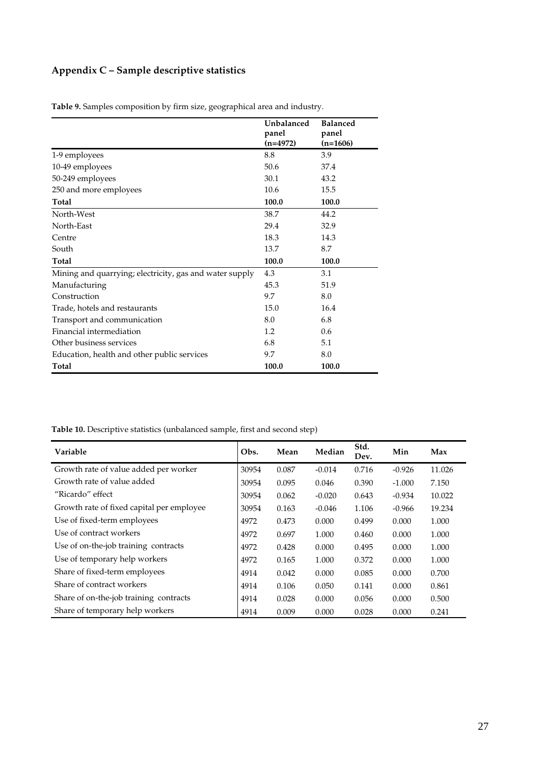# **Appendix C – Sample descriptive statistics**

|                                                         | Unbalanced<br>panel | <b>Balanced</b><br>panel |
|---------------------------------------------------------|---------------------|--------------------------|
|                                                         | $(n=4972)$          | $(n=1606)$               |
| 1-9 employees                                           | 8.8                 | 3.9                      |
| 10-49 employees                                         | 50.6                | 37.4                     |
| 50-249 employees                                        | 30.1                | 43.2                     |
| 250 and more employees                                  | 10.6                | 15.5                     |
| Total                                                   | 100.0               | 100.0                    |
| North-West                                              | 38.7                | 44.2                     |
| North-East                                              | 29.4                | 32.9                     |
| Centre                                                  | 18.3                | 14.3                     |
| South                                                   | 13.7                | 8.7                      |
| Total                                                   | 100.0               | 100.0                    |
| Mining and quarrying; electricity, gas and water supply | 4.3                 | 3.1                      |
| Manufacturing                                           | 45.3                | 51.9                     |
| Construction                                            | 9.7                 | 8.0                      |
| Trade, hotels and restaurants                           | 15.0                | 16.4                     |
| Transport and communication                             | 8.0                 | 6.8                      |
| Financial intermediation                                | 1.2                 | 0.6                      |
| Other business services                                 | 6.8                 | 5.1                      |
| Education, health and other public services             | 9.7                 | 8.0                      |
| Total                                                   | 100.0               | 100.0                    |

**Table 9.** Samples composition by firm size, geographical area and industry.

**Table 10.** Descriptive statistics (unbalanced sample, first and second step)

| Variable                                  | Obs.  | Mean  | Median   | Std.<br>Dev. | Min      | Max    |
|-------------------------------------------|-------|-------|----------|--------------|----------|--------|
| Growth rate of value added per worker     | 30954 | 0.087 | $-0.014$ | 0.716        | $-0.926$ | 11.026 |
| Growth rate of value added                | 30954 | 0.095 | 0.046    | 0.390        | $-1.000$ | 7.150  |
| "Ricardo" effect                          | 30954 | 0.062 | $-0.020$ | 0.643        | $-0.934$ | 10.022 |
| Growth rate of fixed capital per employee | 30954 | 0.163 | $-0.046$ | 1.106        | $-0.966$ | 19.234 |
| Use of fixed-term employees               | 4972  | 0.473 | 0.000    | 0.499        | 0.000    | 1.000  |
| Use of contract workers                   | 4972  | 0.697 | 1.000    | 0.460        | 0.000    | 1.000  |
| Use of on-the-job training contracts      | 4972  | 0.428 | 0.000    | 0.495        | 0.000    | 1.000  |
| Use of temporary help workers             | 4972  | 0.165 | 1.000    | 0.372        | 0.000    | 1.000  |
| Share of fixed-term employees             | 4914  | 0.042 | 0.000    | 0.085        | 0.000    | 0.700  |
| Share of contract workers                 | 4914  | 0.106 | 0.050    | 0.141        | 0.000    | 0.861  |
| Share of on-the-job training contracts    | 4914  | 0.028 | 0.000    | 0.056        | 0.000    | 0.500  |
| Share of temporary help workers           | 4914  | 0.009 | 0.000    | 0.028        | 0.000    | 0.241  |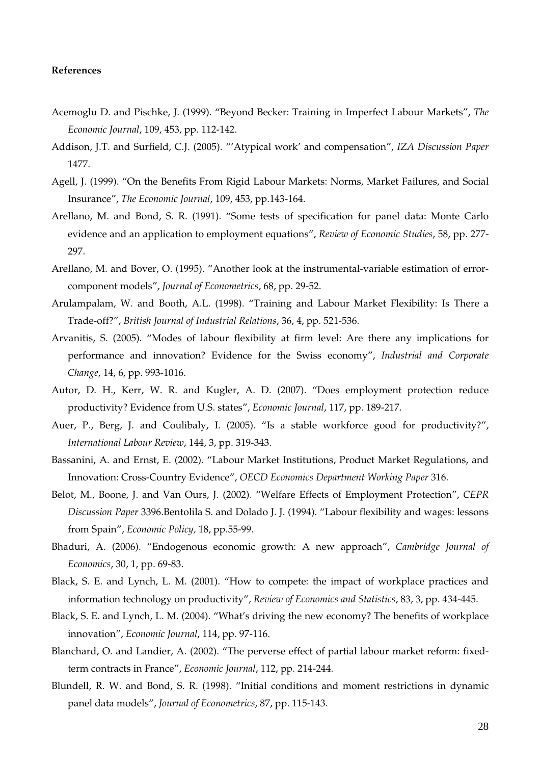## **References**

- Acemoglu D. and Pischke, J. (1999). "Beyond Becker: Training in Imperfect Labour Markets", *The Economic Journal*, 109, 453, pp. 112-142.
- Addison, J.T. and Surfield, C.J. (2005). "'Atypical work' and compensation", *IZA Discussion Paper* 1477.
- Agell, J. (1999). "On the Benefits From Rigid Labour Markets: Norms, Market Failures, and Social Insurance", *The Economic Journal*, 109, 453, pp.143-164.
- Arellano, M. and Bond, S. R. (1991). "Some tests of specification for panel data: Monte Carlo evidence and an application to employment equations", *Review of Economic Studies*, 58, pp. 277- 297.
- Arellano, M. and Bover, O. (1995). "Another look at the instrumental-variable estimation of errorcomponent models", *Journal of Econometrics*, 68, pp. 29-52.
- Arulampalam, W. and Booth, A.L. (1998). "Training and Labour Market Flexibility: Is There a Trade-off?", *British Journal of Industrial Relations*, 36, 4, pp. 521-536.
- Arvanitis, S. (2005). "Modes of labour flexibility at firm level: Are there any implications for performance and innovation? Evidence for the Swiss economy", *Industrial and Corporate Change*, 14, 6, pp. 993-1016.
- Autor, D. H., Kerr, W. R. and Kugler, A. D. (2007). "Does employment protection reduce productivity? Evidence from U.S. states", *Economic Journal*, 117, pp. 189-217.
- Auer, P., Berg, J. and Coulibaly, I. (2005). "Is a stable workforce good for productivity?", *International Labour Review*, 144, 3, pp. 319-343.
- Bassanini, A. and Ernst, E. (2002). "Labour Market Institutions, Product Market Regulations, and Innovation: Cross-Country Evidence", *OECD Economics Department Working Paper* 316.
- Belot, M., Boone, J. and Van Ours, J. (2002). "Welfare Effects of Employment Protection", *CEPR Discussion Paper* 3396.Bentolila S. and Dolado J. J. (1994). "Labour flexibility and wages: lessons from Spain", *Economic Policy,* 18, pp.55-99.
- Bhaduri, A. (2006). "Endogenous economic growth: A new approach", *Cambridge Journal of Economics*, 30, 1, pp. 69-83.
- Black, S. E. and Lynch, L. M. (2001). "How to compete: the impact of workplace practices and information technology on productivity", *Review of Economics and Statistics*, 83, 3, pp. 434-445.
- Black, S. E. and Lynch, L. M. (2004). "What's driving the new economy? The benefits of workplace innovation", *Economic Journal*, 114, pp. 97-116.
- Blanchard, O. and Landier, A. (2002). "The perverse effect of partial labour market reform: fixedterm contracts in France", *Economic Journal*, 112, pp. 214-244.
- Blundell, R. W. and Bond, S. R. (1998). "Initial conditions and moment restrictions in dynamic panel data models", *Journal of Econometrics*, 87, pp. 115-143.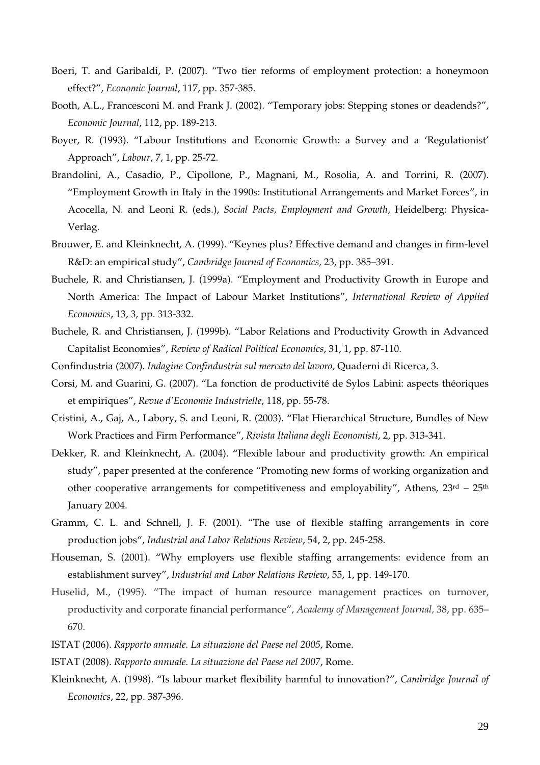- Boeri, T. and Garibaldi, P. (2007). "Two tier reforms of employment protection: a honeymoon effect?", *Economic Journal*, 117, pp. 357-385.
- Booth, A.L., Francesconi M. and Frank J. (2002). "Temporary jobs: Stepping stones or deadends?", *Economic Journal*, 112, pp. 189-213.
- Boyer, R. (1993). "Labour Institutions and Economic Growth: a Survey and a 'Regulationist' Approach", *Labour*, 7, 1, pp. 25-72.
- Brandolini, A., Casadio, P., Cipollone, P., Magnani, M., Rosolia, A. and Torrini, R. (2007). "Employment Growth in Italy in the 1990s: Institutional Arrangements and Market Forces", in Acocella, N. and Leoni R. (eds.), *Social Pacts, Employment and Growth*, Heidelberg: Physica-Verlag.
- Brouwer, E. and Kleinknecht, A. (1999). "Keynes plus? Effective demand and changes in firm-level R&D: an empirical study", *Cambridge Journal of Economics,* 23, pp. 385–391.
- Buchele, R. and Christiansen, J. (1999a). "Employment and Productivity Growth in Europe and North America: The Impact of Labour Market Institutions", *International Review of Applied Economics*, 13, 3, pp. 313-332.
- Buchele, R. and Christiansen, J. (1999b). "Labor Relations and Productivity Growth in Advanced Capitalist Economies", *Review of Radical Political Economics*, 31, 1, pp. 87-110.
- Confindustria (2007). *Indagine Confindustria sul mercato del lavoro*, Quaderni di Ricerca, 3.
- Corsi, M. and Guarini, G. (2007). "La fonction de productivité de Sylos Labini: aspects théoriques et empiriques", *Revue d'Economie Industrielle*, 118, pp. 55-78.
- Cristini, A., Gaj, A., Labory, S. and Leoni, R. (2003). "Flat Hierarchical Structure, Bundles of New Work Practices and Firm Performance", *Rivista Italiana degli Economisti*, 2, pp. 313-341.
- Dekker, R. and Kleinknecht, A. (2004). "Flexible labour and productivity growth: An empirical study", paper presented at the conference "Promoting new forms of working organization and other cooperative arrangements for competitiveness and employability", Athens, 23rd – 25th January 2004.
- Gramm, C. L. and Schnell, J. F. (2001). "The use of flexible staffing arrangements in core production jobs", *Industrial and Labor Relations Review*, 54, 2, pp. 245-258.
- Houseman, S. (2001). "Why employers use flexible staffing arrangements: evidence from an establishment survey", *Industrial and Labor Relations Review*, 55, 1, pp. 149-170.
- Huselid, M., (1995). "The impact of human resource management practices on turnover, productivity and corporate financial performance", *Academy of Management Journal,* 38, pp. 635– 670.
- ISTAT (2006). *Rapporto annuale. La situazione del Paese nel 2005*, Rome.
- ISTAT (2008). *Rapporto annuale. La situazione del Paese nel 2007*, Rome.
- Kleinknecht, A. (1998). "Is labour market flexibility harmful to innovation?", *Cambridge Journal of Economics*, 22, pp. 387-396.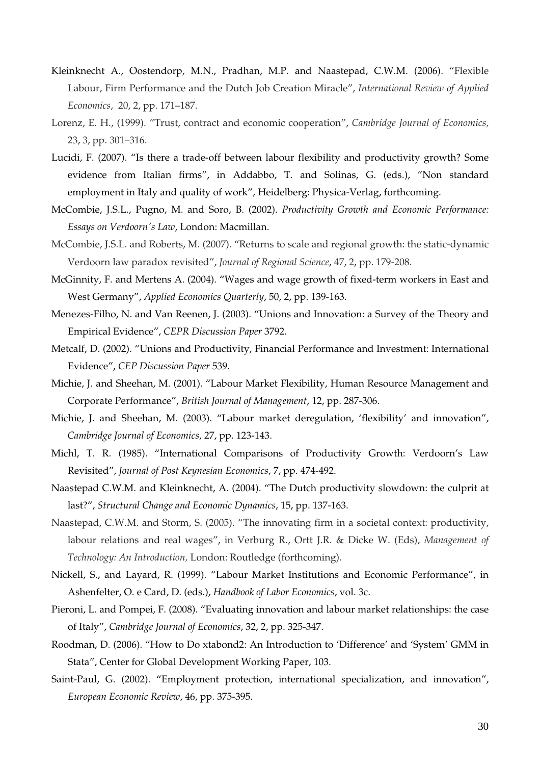- Kleinknecht A., Oostendorp, M.N., Pradhan, M.P. and Naastepad, C.W.M. (2006). "Flexible Labour, Firm Performance and the Dutch Job Creation Miracle", *International Review of Applied Economics*, 20, 2, pp. 171–187.
- Lorenz, E. H., (1999). "Trust, contract and economic cooperation", *Cambridge Journal of Economics,*  23, 3, pp. 301–316.
- Lucidi, F. (2007). "Is there a trade-off between labour flexibility and productivity growth? Some evidence from Italian firms", in Addabbo, T. and Solinas, G. (eds.), "Non standard employment in Italy and quality of work", Heidelberg: Physica-Verlag, forthcoming.
- McCombie, J.S.L., Pugno, M. and Soro, B. (2002). *Productivity Growth and Economic Performance: Essays on Verdoorn's Law*, London: Macmillan.
- McCombie, J.S.L. and Roberts, M. (2007). "Returns to scale and regional growth: the static-dynamic Verdoorn law paradox revisited", *Journal of Regional Science*, 47, 2, pp. 179-208.
- McGinnity, F. and Mertens A. (2004). "Wages and wage growth of fixed-term workers in East and West Germany", *Applied Economics Quarterly*, 50, 2, pp. 139-163.
- Menezes-Filho, N. and Van Reenen, J. (2003). "Unions and Innovation: a Survey of the Theory and Empirical Evidence", *CEPR Discussion Paper* 3792.
- Metcalf, D. (2002). "Unions and Productivity, Financial Performance and Investment: International Evidence", *CEP Discussion Paper* 539.
- Michie, J. and Sheehan, M. (2001). "Labour Market Flexibility, Human Resource Management and Corporate Performance", *British Journal of Management*, 12, pp. 287-306.
- Michie, J. and Sheehan, M. (2003). "Labour market deregulation, 'flexibility' and innovation", *Cambridge Journal of Economics*, 27, pp. 123-143.
- Michl, T. R. (1985). "International Comparisons of Productivity Growth: Verdoorn's Law Revisited", *Journal of Post Keynesian Economics*, 7, pp. 474-492.
- Naastepad C.W.M. and Kleinknecht, A. (2004). "The Dutch productivity slowdown: the culprit at last?", *Structural Change and Economic Dynamics*, 15, pp. 137-163.
- Naastepad, C.W.M. and Storm, S. (2005). "The innovating firm in a societal context: productivity, labour relations and real wages", in Verburg R., Ortt J.R. & Dicke W. (Eds), *Management of Technology: An Introduction,* London: Routledge (forthcoming).
- Nickell, S., and Layard, R. (1999). "Labour Market Institutions and Economic Performance", in Ashenfelter, O. e Card, D. (eds.), *Handbook of Labor Economics*, vol. 3c.
- Pieroni, L. and Pompei, F. (2008). "Evaluating innovation and labour market relationships: the case of Italy", *Cambridge Journal of Economics*, 32, 2, pp. 325-347.
- Roodman, D. (2006). "How to Do xtabond2: An Introduction to 'Difference' and 'System' GMM in Stata", Center for Global Development Working Paper, 103.
- Saint-Paul, G. (2002). "Employment protection, international specialization, and innovation", *European Economic Review*, 46, pp. 375-395.